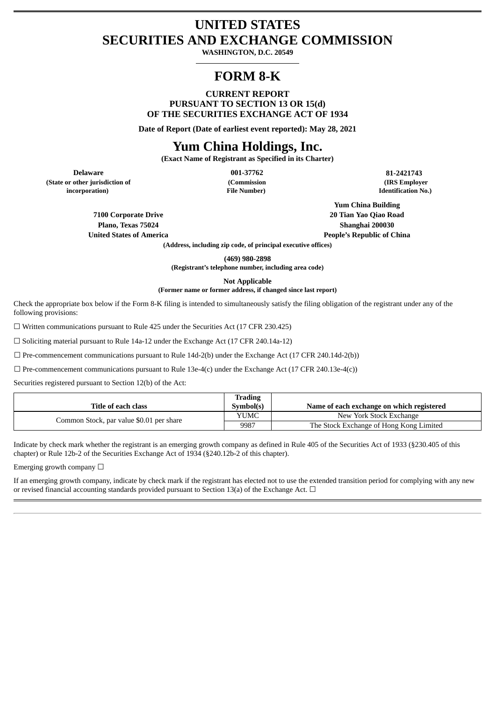# **UNITED STATES SECURITIES AND EXCHANGE COMMISSION**

**WASHINGTON, D.C. 20549**

# **FORM 8-K**

## **CURRENT REPORT PURSUANT TO SECTION 13 OR 15(d) OF THE SECURITIES EXCHANGE ACT OF 1934**

**Date of Report (Date of earliest event reported): May 28, 2021**

# **Yum China Holdings, Inc.**

**(Exact Name of Registrant as Specified in its Charter)**

**(State or other jurisdiction of incorporation)**

**(Commission File Number)**

**Delaware 001-37762 81-2421743 (IRS Employer Identification No.)**

**Yum China Building 7100 Corporate Drive 20 Tian Yao Qiao Road Plano, Texas 75024 Shanghai 200030 United States of America People's Republic of China**

**(Address, including zip code, of principal executive offices)**

**(469) 980-2898**

**(Registrant's telephone number, including area code)**

**Not Applicable**

### **(Former name or former address, if changed since last report)**

Check the appropriate box below if the Form 8-K filing is intended to simultaneously satisfy the filing obligation of the registrant under any of the following provisions:

☐ Written communications pursuant to Rule 425 under the Securities Act (17 CFR 230.425)

☐ Soliciting material pursuant to Rule 14a-12 under the Exchange Act (17 CFR 240.14a-12)

 $\Box$  Pre-commencement communications pursuant to Rule 14d-2(b) under the Exchange Act (17 CFR 240.14d-2(b))

 $\Box$  Pre-commencement communications pursuant to Rule 13e-4(c) under the Exchange Act (17 CFR 240.13e-4(c))

Securities registered pursuant to Section 12(b) of the Act:

|                                          | Trading   |                                           |
|------------------------------------------|-----------|-------------------------------------------|
| Title of each class                      | Symbol(s) | Name of each exchange on which registered |
| Common Stock, par value \$0.01 per share | YUMC      | New York Stock Exchange                   |
|                                          | 9987      | The Stock Exchange of Hong Kong Limited   |

Indicate by check mark whether the registrant is an emerging growth company as defined in Rule 405 of the Securities Act of 1933 (§230.405 of this chapter) or Rule 12b-2 of the Securities Exchange Act of 1934 (§240.12b-2 of this chapter).

Emerging growth company  $\Box$ 

If an emerging growth company, indicate by check mark if the registrant has elected not to use the extended transition period for complying with any new or revised financial accounting standards provided pursuant to Section 13(a) of the Exchange Act.  $\Box$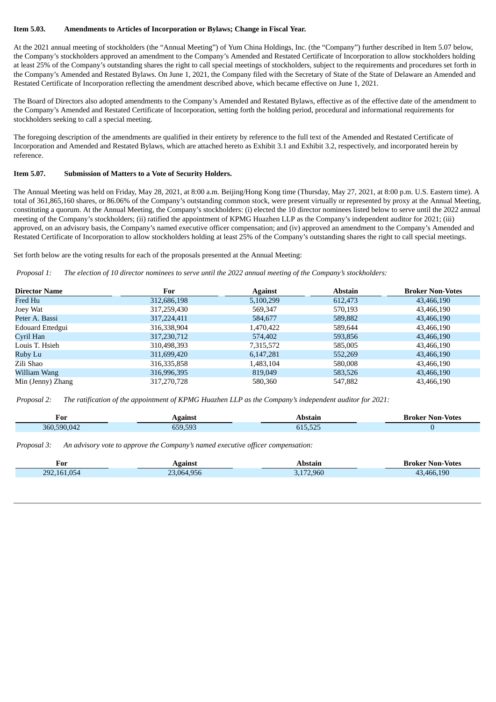#### **Item 5.03. Amendments to Articles of Incorporation or Bylaws; Change in Fiscal Year.**

At the 2021 annual meeting of stockholders (the "Annual Meeting") of Yum China Holdings, Inc. (the "Company") further described in Item 5.07 below, the Company's stockholders approved an amendment to the Company's Amended and Restated Certificate of Incorporation to allow stockholders holding at least 25% of the Company's outstanding shares the right to call special meetings of stockholders, subject to the requirements and procedures set forth in the Company's Amended and Restated Bylaws. On June 1, 2021, the Company filed with the Secretary of State of the State of Delaware an Amended and Restated Certificate of Incorporation reflecting the amendment described above, which became effective on June 1, 2021.

The Board of Directors also adopted amendments to the Company's Amended and Restated Bylaws, effective as of the effective date of the amendment to the Company's Amended and Restated Certificate of Incorporation, setting forth the holding period, procedural and informational requirements for stockholders seeking to call a special meeting.

The foregoing description of the amendments are qualified in their entirety by reference to the full text of the Amended and Restated Certificate of Incorporation and Amended and Restated Bylaws, which are attached hereto as Exhibit 3.1 and Exhibit 3.2, respectively, and incorporated herein by reference.

## **Item 5.07. Submission of Matters to a Vote of Security Holders.**

The Annual Meeting was held on Friday, May 28, 2021, at 8:00 a.m. Beijing/Hong Kong time (Thursday, May 27, 2021, at 8:00 p.m. U.S. Eastern time). A total of 361,865,160 shares, or 86.06% of the Company's outstanding common stock, were present virtually or represented by proxy at the Annual Meeting, constituting a quorum. At the Annual Meeting, the Company's stockholders: (i) elected the 10 director nominees listed below to serve until the 2022 annual meeting of the Company's stockholders; (ii) ratified the appointment of KPMG Huazhen LLP as the Company's independent auditor for 2021; (iii) approved, on an advisory basis, the Company's named executive officer compensation; and (iv) approved an amendment to the Company's Amended and Restated Certificate of Incorporation to allow stockholders holding at least 25% of the Company's outstanding shares the right to call special meetings.

Set forth below are the voting results for each of the proposals presented at the Annual Meeting:

Proposal 1: The election of 10 director nominees to serve until the 2022 annual meeting of the Company's stockholders:

| <b>Director Name</b> | For         | <b>Against</b> | <b>Abstain</b> | <b>Broker Non-Votes</b> |
|----------------------|-------------|----------------|----------------|-------------------------|
| Fred Hu              | 312,686,198 | 5,100,299      | 612,473        | 43,466,190              |
| Joey Wat             | 317,259,430 | 569,347        | 570,193        | 43,466,190              |
| Peter A. Bassi       | 317,224,411 | 584,677        | 589,882        | 43,466,190              |
| Edouard Ettedgui     | 316,338,904 | 1,470,422      | 589,644        | 43,466,190              |
| Cyril Han            | 317,230,712 | 574,402        | 593,856        | 43,466,190              |
| Louis T. Hsieh       | 310,498,393 | 7,315,572      | 585,005        | 43,466,190              |
| Ruby Lu              | 311,699,420 | 6,147,281      | 552,269        | 43,466,190              |
| Zili Shao            | 316,335,858 | 1,483,104      | 580,008        | 43,466,190              |
| William Wang         | 316,996,395 | 819,049        | 583,526        | 43,466,190              |
| Min (Jenny) Zhang    | 317,270,728 | 580,360        | 547,882        | 43,466,190              |

Proposal 2: The ratification of the appointment of KPMG Huazhen LLP as the Company's independent auditor for 2021:

| For<br>____                                                                                                                            | 'ainci            |            | Non-Votes<br>Kroker |
|----------------------------------------------------------------------------------------------------------------------------------------|-------------------|------------|---------------------|
| 360<br>$\mathcal{L}^{\text{max}}_{\text{max}}$ and $\mathcal{L}^{\text{max}}_{\text{max}}$ and $\mathcal{L}^{\text{max}}_{\text{max}}$ | $\sim$<br>$ \sim$ | $F^{\sim}$ |                     |

*Proposal 3: An advisory vote to approve the Company's named executive officer compensation:*

| ÷<br>For<br>_____ | הרורה                         | ¤tain.<br>_ _ _ _ | -Votes<br>Non-<br>__ |
|-------------------|-------------------------------|-------------------|----------------------|
| $\sim$<br>292     | $\sim$ $\sim$<br>-064<br>.956 | 000<br>2.960      | 190<br>A66           |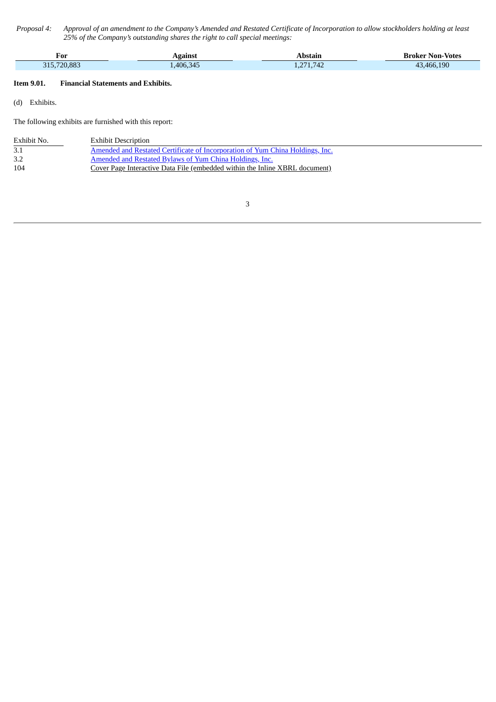Proposal 4: Approval of an amendment to the Company's Amended and Restated Certificate of Incorporation to allow stockholders holding at least *25% of the Company's outstanding shares the right to call special meetings:*

| For            | <b>\gainst</b> | `hstain_                         | <b>Broker Non-Votes</b> |
|----------------|----------------|----------------------------------|-------------------------|
| 720.883<br>ו ר | ,406,345       | $\mathbf{H}$<br>271<br>1,2/1,742 | .466.190                |

## **Item 9.01. Financial Statements and Exhibits.**

(d) Exhibits.

The following exhibits are furnished with this report:

| Exhibit No. | <b>Exhibit Description</b>                                                    |
|-------------|-------------------------------------------------------------------------------|
|             | Amended and Restated Certificate of Incorporation of Yum China Holdings, Inc. |
| 3.2         | Amended and Restated Bylaws of Yum China Holdings, Inc.                       |
| 104         | Cover Page Interactive Data File (embedded within the Inline XBRL document)   |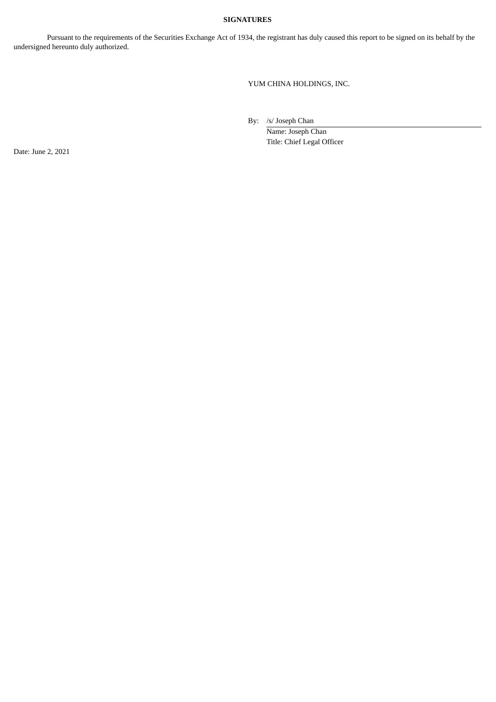## **SIGNATURES**

Pursuant to the requirements of the Securities Exchange Act of 1934, the registrant has duly caused this report to be signed on its behalf by the undersigned hereunto duly authorized.

YUM CHINA HOLDINGS, INC.

By: /s/ Joseph Chan

Name: Joseph Chan Title: Chief Legal Officer

Date: June 2, 2021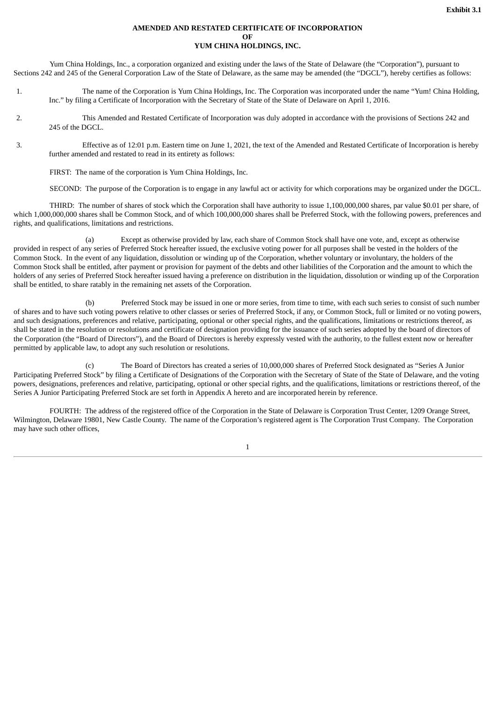## **AMENDED AND RESTATED CERTIFICATE OF INCORPORATION**

**OF**

#### **YUM CHINA HOLDINGS, INC.**

<span id="page-4-0"></span>Yum China Holdings, Inc., a corporation organized and existing under the laws of the State of Delaware (the "Corporation"), pursuant to Sections 242 and 245 of the General Corporation Law of the State of Delaware, as the same may be amended (the "DGCL"), hereby certifies as follows:

- 1. The name of the Corporation is Yum China Holdings, Inc. The Corporation was incorporated under the name "Yum! China Holding, Inc." by filing a Certificate of Incorporation with the Secretary of State of the State of Delaware on April 1, 2016.
- 2. This Amended and Restated Certificate of Incorporation was duly adopted in accordance with the provisions of Sections 242 and 245 of the DGCL.
- 3. Effective as of 12:01 p.m. Eastern time on June 1, 2021, the text of the Amended and Restated Certificate of Incorporation is hereby further amended and restated to read in its entirety as follows:

FIRST: The name of the corporation is Yum China Holdings, Inc.

SECOND: The purpose of the Corporation is to engage in any lawful act or activity for which corporations may be organized under the DGCL.

THIRD: The number of shares of stock which the Corporation shall have authority to issue 1,100,000,000 shares, par value \$0.01 per share, of which 1,000,000,000 shares shall be Common Stock, and of which 100,000,000 shares shall be Preferred Stock, with the following powers, preferences and rights, and qualifications, limitations and restrictions.

(a) Except as otherwise provided by law, each share of Common Stock shall have one vote, and, except as otherwise provided in respect of any series of Preferred Stock hereafter issued, the exclusive voting power for all purposes shall be vested in the holders of the Common Stock. In the event of any liquidation, dissolution or winding up of the Corporation, whether voluntary or involuntary, the holders of the Common Stock shall be entitled, after payment or provision for payment of the debts and other liabilities of the Corporation and the amount to which the holders of any series of Preferred Stock hereafter issued having a preference on distribution in the liquidation, dissolution or winding up of the Corporation shall be entitled, to share ratably in the remaining net assets of the Corporation.

(b) Preferred Stock may be issued in one or more series, from time to time, with each such series to consist of such number of shares and to have such voting powers relative to other classes or series of Preferred Stock, if any, or Common Stock, full or limited or no voting powers, and such designations, preferences and relative, participating, optional or other special rights, and the qualifications, limitations or restrictions thereof, as shall be stated in the resolution or resolutions and certificate of designation providing for the issuance of such series adopted by the board of directors of the Corporation (the "Board of Directors"), and the Board of Directors is hereby expressly vested with the authority, to the fullest extent now or hereafter permitted by applicable law, to adopt any such resolution or resolutions.

(c) The Board of Directors has created a series of 10,000,000 shares of Preferred Stock designated as "Series A Junior Participating Preferred Stock" by filing a Certificate of Designations of the Corporation with the Secretary of State of the State of Delaware, and the voting powers, designations, preferences and relative, participating, optional or other special rights, and the qualifications, limitations or restrictions thereof, of the Series A Junior Participating Preferred Stock are set forth in Appendix A hereto and are incorporated herein by reference.

FOURTH: The address of the registered office of the Corporation in the State of Delaware is Corporation Trust Center, 1209 Orange Street, Wilmington, Delaware 19801, New Castle County. The name of the Corporation's registered agent is The Corporation Trust Company. The Corporation may have such other offices,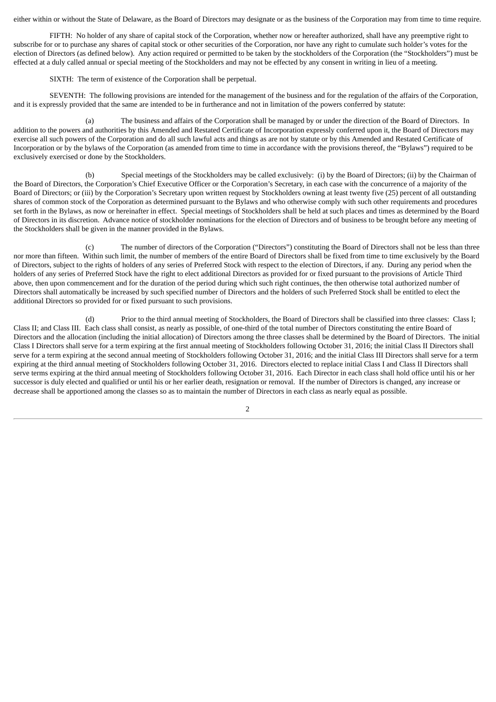either within or without the State of Delaware, as the Board of Directors may designate or as the business of the Corporation may from time to time require.

FIFTH: No holder of any share of capital stock of the Corporation, whether now or hereafter authorized, shall have any preemptive right to subscribe for or to purchase any shares of capital stock or other securities of the Corporation, nor have any right to cumulate such holder's votes for the election of Directors (as defined below). Any action required or permitted to be taken by the stockholders of the Corporation (the "Stockholders") must be effected at a duly called annual or special meeting of the Stockholders and may not be effected by any consent in writing in lieu of a meeting.

SIXTH: The term of existence of the Corporation shall be perpetual.

SEVENTH: The following provisions are intended for the management of the business and for the regulation of the affairs of the Corporation, and it is expressly provided that the same are intended to be in furtherance and not in limitation of the powers conferred by statute:

(a) The business and affairs of the Corporation shall be managed by or under the direction of the Board of Directors. In addition to the powers and authorities by this Amended and Restated Certificate of Incorporation expressly conferred upon it, the Board of Directors may exercise all such powers of the Corporation and do all such lawful acts and things as are not by statute or by this Amended and Restated Certificate of Incorporation or by the bylaws of the Corporation (as amended from time to time in accordance with the provisions thereof, the "Bylaws") required to be exclusively exercised or done by the Stockholders.

(b) Special meetings of the Stockholders may be called exclusively: (i) by the Board of Directors; (ii) by the Chairman of the Board of Directors, the Corporation's Chief Executive Officer or the Corporation's Secretary, in each case with the concurrence of a majority of the Board of Directors; or (iii) by the Corporation's Secretary upon written request by Stockholders owning at least twenty five (25) percent of all outstanding shares of common stock of the Corporation as determined pursuant to the Bylaws and who otherwise comply with such other requirements and procedures set forth in the Bylaws, as now or hereinafter in effect. Special meetings of Stockholders shall be held at such places and times as determined by the Board of Directors in its discretion. Advance notice of stockholder nominations for the election of Directors and of business to be brought before any meeting of the Stockholders shall be given in the manner provided in the Bylaws.

(c) The number of directors of the Corporation ("Directors") constituting the Board of Directors shall not be less than three nor more than fifteen. Within such limit, the number of members of the entire Board of Directors shall be fixed from time to time exclusively by the Board of Directors, subject to the rights of holders of any series of Preferred Stock with respect to the election of Directors, if any. During any period when the holders of any series of Preferred Stock have the right to elect additional Directors as provided for or fixed pursuant to the provisions of Article Third above, then upon commencement and for the duration of the period during which such right continues, the then otherwise total authorized number of Directors shall automatically be increased by such specified number of Directors and the holders of such Preferred Stock shall be entitled to elect the additional Directors so provided for or fixed pursuant to such provisions.

(d) Prior to the third annual meeting of Stockholders, the Board of Directors shall be classified into three classes: Class I; Class II; and Class III. Each class shall consist, as nearly as possible, of one-third of the total number of Directors constituting the entire Board of Directors and the allocation (including the initial allocation) of Directors among the three classes shall be determined by the Board of Directors. The initial Class I Directors shall serve for a term expiring at the first annual meeting of Stockholders following October 31, 2016; the initial Class II Directors shall serve for a term expiring at the second annual meeting of Stockholders following October 31, 2016; and the initial Class III Directors shall serve for a term expiring at the third annual meeting of Stockholders following October 31, 2016. Directors elected to replace initial Class I and Class II Directors shall serve terms expiring at the third annual meeting of Stockholders following October 31, 2016. Each Director in each class shall hold office until his or her successor is duly elected and qualified or until his or her earlier death, resignation or removal. If the number of Directors is changed, any increase or decrease shall be apportioned among the classes so as to maintain the number of Directors in each class as nearly equal as possible.

 $\mathcal{P}$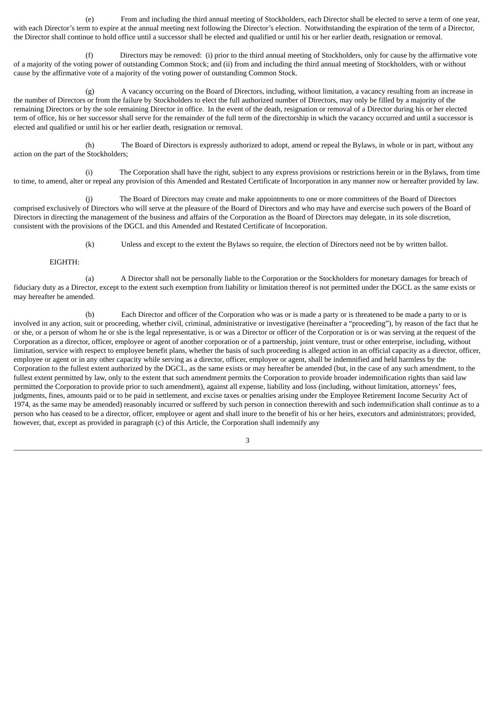(e) From and including the third annual meeting of Stockholders, each Director shall be elected to serve a term of one year, with each Director's term to expire at the annual meeting next following the Director's election. Notwithstanding the expiration of the term of a Director, the Director shall continue to hold office until a successor shall be elected and qualified or until his or her earlier death, resignation or removal.

(f) Directors may be removed: (i) prior to the third annual meeting of Stockholders, only for cause by the affirmative vote of a majority of the voting power of outstanding Common Stock; and (ii) from and including the third annual meeting of Stockholders, with or without cause by the affirmative vote of a majority of the voting power of outstanding Common Stock.

(g) A vacancy occurring on the Board of Directors, including, without limitation, a vacancy resulting from an increase in the number of Directors or from the failure by Stockholders to elect the full authorized number of Directors, may only be filled by a majority of the remaining Directors or by the sole remaining Director in office. In the event of the death, resignation or removal of a Director during his or her elected term of office, his or her successor shall serve for the remainder of the full term of the directorship in which the vacancy occurred and until a successor is elected and qualified or until his or her earlier death, resignation or removal.

(h) The Board of Directors is expressly authorized to adopt, amend or repeal the Bylaws, in whole or in part, without any action on the part of the Stockholders;

(i) The Corporation shall have the right, subject to any express provisions or restrictions herein or in the Bylaws, from time to time, to amend, alter or repeal any provision of this Amended and Restated Certificate of Incorporation in any manner now or hereafter provided by law.

(j) The Board of Directors may create and make appointments to one or more committees of the Board of Directors comprised exclusively of Directors who will serve at the pleasure of the Board of Directors and who may have and exercise such powers of the Board of Directors in directing the management of the business and affairs of the Corporation as the Board of Directors may delegate, in its sole discretion, consistent with the provisions of the DGCL and this Amended and Restated Certificate of Incorporation.

(k) Unless and except to the extent the Bylaws so require, the election of Directors need not be by written ballot.

#### EIGHTH:

(a) A Director shall not be personally liable to the Corporation or the Stockholders for monetary damages for breach of fiduciary duty as a Director, except to the extent such exemption from liability or limitation thereof is not permitted under the DGCL as the same exists or may hereafter be amended.

(b) Each Director and officer of the Corporation who was or is made a party or is threatened to be made a party to or is involved in any action, suit or proceeding, whether civil, criminal, administrative or investigative (hereinafter a "proceeding"), by reason of the fact that he or she, or a person of whom he or she is the legal representative, is or was a Director or officer of the Corporation or is or was serving at the request of the Corporation as a director, officer, employee or agent of another corporation or of a partnership, joint venture, trust or other enterprise, including, without limitation, service with respect to employee benefit plans, whether the basis of such proceeding is alleged action in an official capacity as a director, officer, employee or agent or in any other capacity while serving as a director, officer, employee or agent, shall be indemnified and held harmless by the Corporation to the fullest extent authorized by the DGCL, as the same exists or may hereafter be amended (but, in the case of any such amendment, to the fullest extent permitted by law, only to the extent that such amendment permits the Corporation to provide broader indemnification rights than said law permitted the Corporation to provide prior to such amendment), against all expense, liability and loss (including, without limitation, attorneys' fees, judgments, fines, amounts paid or to be paid in settlement, and excise taxes or penalties arising under the Employee Retirement Income Security Act of 1974, as the same may be amended) reasonably incurred or suffered by such person in connection therewith and such indemnification shall continue as to a person who has ceased to be a director, officer, employee or agent and shall inure to the benefit of his or her heirs, executors and administrators; provided, however, that, except as provided in paragraph (c) of this Article, the Corporation shall indemnify any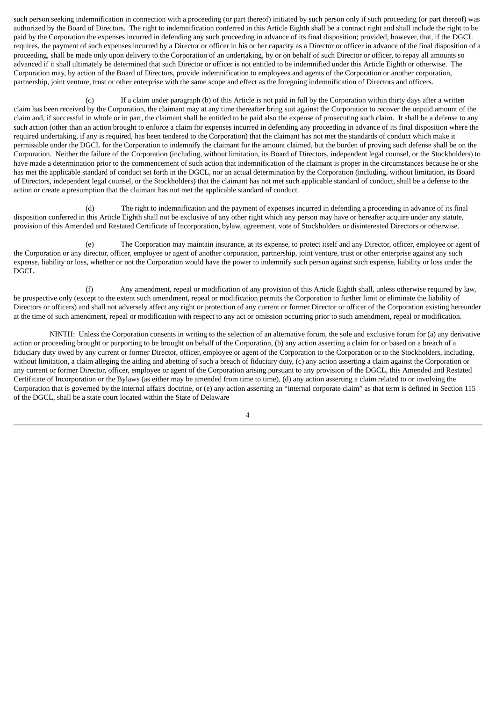such person seeking indemnification in connection with a proceeding (or part thereof) initiated by such person only if such proceeding (or part thereof) was authorized by the Board of Directors. The right to indemnification conferred in this Article Eighth shall be a contract right and shall include the right to be paid by the Corporation the expenses incurred in defending any such proceeding in advance of its final disposition; provided, however, that, if the DGCL requires, the payment of such expenses incurred by a Director or officer in his or her capacity as a Director or officer in advance of the final disposition of a proceeding, shall be made only upon delivery to the Corporation of an undertaking, by or on behalf of such Director or officer, to repay all amounts so advanced if it shall ultimately be determined that such Director or officer is not entitled to be indemnified under this Article Eighth or otherwise. The Corporation may, by action of the Board of Directors, provide indemnification to employees and agents of the Corporation or another corporation, partnership, joint venture, trust or other enterprise with the same scope and effect as the foregoing indemnification of Directors and officers.

(c) If a claim under paragraph (b) of this Article is not paid in full by the Corporation within thirty days after a written claim has been received by the Corporation, the claimant may at any time thereafter bring suit against the Corporation to recover the unpaid amount of the claim and, if successful in whole or in part, the claimant shall be entitled to be paid also the expense of prosecuting such claim. It shall be a defense to any such action (other than an action brought to enforce a claim for expenses incurred in defending any proceeding in advance of its final disposition where the required undertaking, if any is required, has been tendered to the Corporation) that the claimant has not met the standards of conduct which make it permissible under the DGCL for the Corporation to indemnify the claimant for the amount claimed, but the burden of proving such defense shall be on the Corporation. Neither the failure of the Corporation (including, without limitation, its Board of Directors, independent legal counsel, or the Stockholders) to have made a determination prior to the commencement of such action that indemnification of the claimant is proper in the circumstances because he or she has met the applicable standard of conduct set forth in the DGCL, nor an actual determination by the Corporation (including, without limitation, its Board of Directors, independent legal counsel, or the Stockholders) that the claimant has not met such applicable standard of conduct, shall be a defense to the action or create a presumption that the claimant has not met the applicable standard of conduct.

(d) The right to indemnification and the payment of expenses incurred in defending a proceeding in advance of its final disposition conferred in this Article Eighth shall not be exclusive of any other right which any person may have or hereafter acquire under any statute, provision of this Amended and Restated Certificate of Incorporation, bylaw, agreement, vote of Stockholders or disinterested Directors or otherwise.

(e) The Corporation may maintain insurance, at its expense, to protect itself and any Director, officer, employee or agent of the Corporation or any director, officer, employee or agent of another corporation, partnership, joint venture, trust or other enterprise against any such expense, liability or loss, whether or not the Corporation would have the power to indemnify such person against such expense, liability or loss under the DGCL.

(f) Any amendment, repeal or modification of any provision of this Article Eighth shall, unless otherwise required by law, be prospective only (except to the extent such amendment, repeal or modification permits the Corporation to further limit or eliminate the liability of Directors or officers) and shall not adversely affect any right or protection of any current or former Director or officer of the Corporation existing hereunder at the time of such amendment, repeal or modification with respect to any act or omission occurring prior to such amendment, repeal or modification.

NINTH: Unless the Corporation consents in writing to the selection of an alternative forum, the sole and exclusive forum for (a) any derivative action or proceeding brought or purporting to be brought on behalf of the Corporation, (b) any action asserting a claim for or based on a breach of a fiduciary duty owed by any current or former Director, officer, employee or agent of the Corporation to the Corporation or to the Stockholders, including, without limitation, a claim alleging the aiding and abetting of such a breach of fiduciary duty, (c) any action asserting a claim against the Corporation or any current or former Director, officer, employee or agent of the Corporation arising pursuant to any provision of the DGCL, this Amended and Restated Certificate of Incorporation or the Bylaws (as either may be amended from time to time), (d) any action asserting a claim related to or involving the Corporation that is governed by the internal affairs doctrine, or (e) any action asserting an "internal corporate claim" as that term is defined in Section 115 of the DGCL, shall be a state court located within the State of Delaware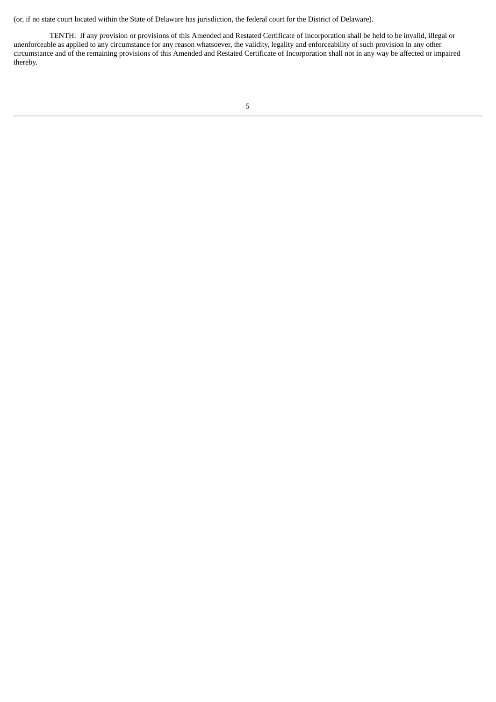(or, if no state court located within the State of Delaware has jurisdiction, the federal court for the District of Delaware).

TENTH: If any provision or provisions of this Amended and Restated Certificate of Incorporation shall be held to be invalid, illegal or unenforceable as applied to any circumstance for any reason whatsoever, the validity, legality and enforceability of such provision in any other circumstance and of the remaining provisions of this Amended and Restated Certificate of Incorporation shall not in any way be affected or impaired thereby.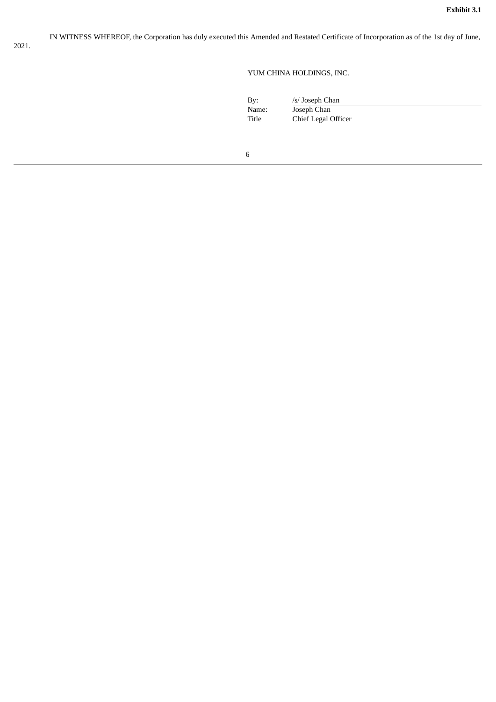IN WITNESS WHEREOF, the Corporation has duly executed this Amended and Restated Certificate of Incorporation as of the 1st day of June,

## YUM CHINA HOLDINGS, INC.

| By:   | /s/ Joseph Chan     |
|-------|---------------------|
| Name: | Joseph Chan         |
| Title | Chief Legal Officer |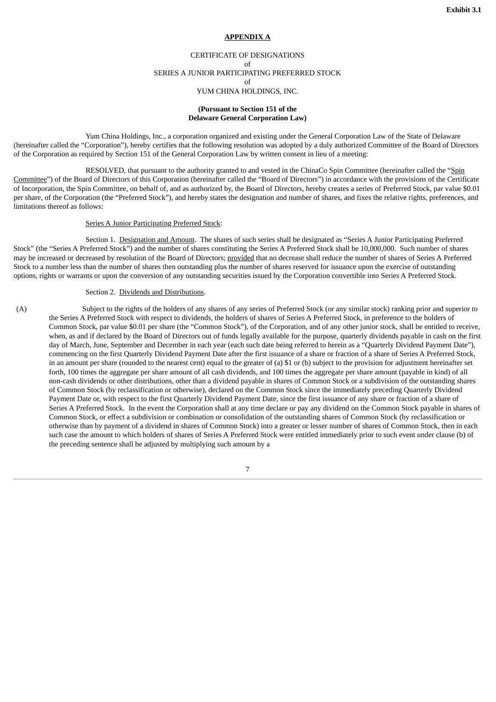#### **APPENDIX A**

## CERTIFICATE OF DESIGNATIONS of SERIES A JUNIOR PARTICIPATING PREFERRED STOCK of YUM CHINA HOLDINGS, INC.

#### **(Pursuant to Section 151 of the Delaware General Corporation Law)**

Yum China Holdings, Inc., a corporation organized and existing under the General Corporation Law of the State of Delaware (hereinafter called the "Corporation"), hereby certifies that the following resolution was adopted by a duly authorized Committee of the Board of Directors of the Corporation as required by Section 151 of the General Corporation Law by written consent in lieu of a meeting:

RESOLVED, that pursuant to the authority granted to and vested in the ChinaCo Spin Committee (hereinafter called the "Spin Committee") of the Board of Directors of this Corporation (hereinafter called the "Board of Directors") in accordance with the provisions of the Certificate of Incorporation, the Spin Committee, on behalf of, and as authorized by, the Board of Directors, hereby creates a series of Preferred Stock, par value \$0.01 per share, of the Corporation (the "Preferred Stock"), and hereby states the designation and number of shares, and fixes the relative rights, preferences, and limitations thereof as follows:

#### Series A Junior Participating Preferred Stock:

Section 1. Designation and Amount. The shares of such series shall be designated as "Series A Junior Participating Preferred Stock" (the "Series A Preferred Stock") and the number of shares constituting the Series A Preferred Stock shall be 10,000,000. Such number of shares may be increased or decreased by resolution of the Board of Directors; provided that no decrease shall reduce the number of shares of Series A Preferred Stock to a number less than the number of shares then outstanding plus the number of shares reserved for issuance upon the exercise of outstanding options, rights or warrants or upon the conversion of any outstanding securities issued by the Corporation convertible into Series A Preferred Stock.

#### Section 2. Dividends and Distributions.

(A) Subject to the rights of the holders of any shares of any series of Preferred Stock (or any similar stock) ranking prior and superior to the Series A Preferred Stock with respect to dividends, the holders of shares of Series A Preferred Stock, in preference to the holders of Common Stock, par value \$0.01 per share (the "Common Stock"), of the Corporation, and of any other junior stock, shall be entitled to receive, when, as and if declared by the Board of Directors out of funds legally available for the purpose, quarterly dividends payable in cash on the first day of March, June, September and December in each year (each such date being referred to herein as a "Quarterly Dividend Payment Date"), commencing on the first Quarterly Dividend Payment Date after the first issuance of a share or fraction of a share of Series A Preferred Stock, in an amount per share (rounded to the nearest cent) equal to the greater of (a) \$1 or (b) subject to the provision for adjustment hereinafter set forth, 100 times the aggregate per share amount of all cash dividends, and 100 times the aggregate per share amount (payable in kind) of all non-cash dividends or other distributions, other than a dividend payable in shares of Common Stock or a subdivision of the outstanding shares of Common Stock (by reclassification or otherwise), declared on the Common Stock since the immediately preceding Quarterly Dividend Payment Date or, with respect to the first Quarterly Dividend Payment Date, since the first issuance of any share or fraction of a share of Series A Preferred Stock. In the event the Corporation shall at any time declare or pay any dividend on the Common Stock payable in shares of Common Stock, or effect a subdivision or combination or consolidation of the outstanding shares of Common Stock (by reclassification or otherwise than by payment of a dividend in shares of Common Stock) into a greater or lesser number of shares of Common Stock, then in each such case the amount to which holders of shares of Series A Preferred Stock were entitled immediately prior to such event under clause (b) of the preceding sentence shall be adjusted by multiplying such amount by a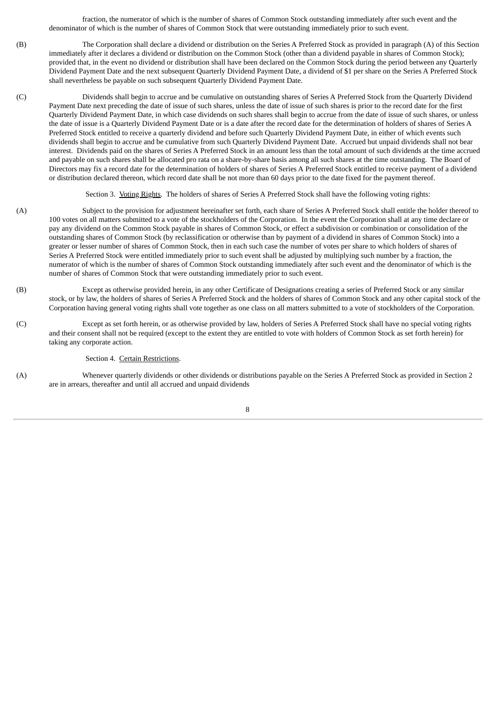fraction, the numerator of which is the number of shares of Common Stock outstanding immediately after such event and the denominator of which is the number of shares of Common Stock that were outstanding immediately prior to such event.

- (B) The Corporation shall declare a dividend or distribution on the Series A Preferred Stock as provided in paragraph (A) of this Section immediately after it declares a dividend or distribution on the Common Stock (other than a dividend payable in shares of Common Stock); provided that, in the event no dividend or distribution shall have been declared on the Common Stock during the period between any Quarterly Dividend Payment Date and the next subsequent Quarterly Dividend Payment Date, a dividend of \$1 per share on the Series A Preferred Stock shall nevertheless be payable on such subsequent Quarterly Dividend Payment Date.
- (C) Dividends shall begin to accrue and be cumulative on outstanding shares of Series A Preferred Stock from the Quarterly Dividend Payment Date next preceding the date of issue of such shares, unless the date of issue of such shares is prior to the record date for the first Quarterly Dividend Payment Date, in which case dividends on such shares shall begin to accrue from the date of issue of such shares, or unless the date of issue is a Quarterly Dividend Payment Date or is a date after the record date for the determination of holders of shares of Series A Preferred Stock entitled to receive a quarterly dividend and before such Quarterly Dividend Payment Date, in either of which events such dividends shall begin to accrue and be cumulative from such Quarterly Dividend Payment Date. Accrued but unpaid dividends shall not bear interest. Dividends paid on the shares of Series A Preferred Stock in an amount less than the total amount of such dividends at the time accrued and payable on such shares shall be allocated pro rata on a share-by-share basis among all such shares at the time outstanding. The Board of Directors may fix a record date for the determination of holders of shares of Series A Preferred Stock entitled to receive payment of a dividend or distribution declared thereon, which record date shall be not more than 60 days prior to the date fixed for the payment thereof.

#### Section 3. Voting Rights. The holders of shares of Series A Preferred Stock shall have the following voting rights:

- (A) Subject to the provision for adjustment hereinafter set forth, each share of Series A Preferred Stock shall entitle the holder thereof to 100 votes on all matters submitted to a vote of the stockholders of the Corporation. In the event the Corporation shall at any time declare or pay any dividend on the Common Stock payable in shares of Common Stock, or effect a subdivision or combination or consolidation of the outstanding shares of Common Stock (by reclassification or otherwise than by payment of a dividend in shares of Common Stock) into a greater or lesser number of shares of Common Stock, then in each such case the number of votes per share to which holders of shares of Series A Preferred Stock were entitled immediately prior to such event shall be adjusted by multiplying such number by a fraction, the numerator of which is the number of shares of Common Stock outstanding immediately after such event and the denominator of which is the number of shares of Common Stock that were outstanding immediately prior to such event.
- (B) Except as otherwise provided herein, in any other Certificate of Designations creating a series of Preferred Stock or any similar stock, or by law, the holders of shares of Series A Preferred Stock and the holders of shares of Common Stock and any other capital stock of the Corporation having general voting rights shall vote together as one class on all matters submitted to a vote of stockholders of the Corporation.
- (C) Except as set forth herein, or as otherwise provided by law, holders of Series A Preferred Stock shall have no special voting rights and their consent shall not be required (except to the extent they are entitled to vote with holders of Common Stock as set forth herein) for taking any corporate action.

#### Section 4. Certain Restrictions.

(A) Whenever quarterly dividends or other dividends or distributions payable on the Series A Preferred Stock as provided in Section 2 are in arrears, thereafter and until all accrued and unpaid dividends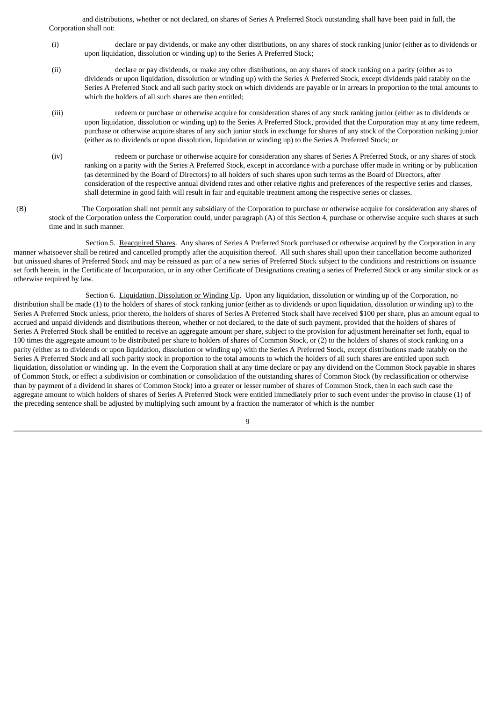and distributions, whether or not declared, on shares of Series A Preferred Stock outstanding shall have been paid in full, the Corporation shall not:

- (i) declare or pay dividends, or make any other distributions, on any shares of stock ranking junior (either as to dividends or upon liquidation, dissolution or winding up) to the Series A Preferred Stock;
- (ii) declare or pay dividends, or make any other distributions, on any shares of stock ranking on a parity (either as to dividends or upon liquidation, dissolution or winding up) with the Series A Preferred Stock, except dividends paid ratably on the Series A Preferred Stock and all such parity stock on which dividends are payable or in arrears in proportion to the total amounts to which the holders of all such shares are then entitled;
- (iii) redeem or purchase or otherwise acquire for consideration shares of any stock ranking junior (either as to dividends or upon liquidation, dissolution or winding up) to the Series A Preferred Stock, provided that the Corporation may at any time redeem, purchase or otherwise acquire shares of any such junior stock in exchange for shares of any stock of the Corporation ranking junior (either as to dividends or upon dissolution, liquidation or winding up) to the Series A Preferred Stock; or
- (iv) redeem or purchase or otherwise acquire for consideration any shares of Series A Preferred Stock, or any shares of stock ranking on a parity with the Series A Preferred Stock, except in accordance with a purchase offer made in writing or by publication (as determined by the Board of Directors) to all holders of such shares upon such terms as the Board of Directors, after consideration of the respective annual dividend rates and other relative rights and preferences of the respective series and classes, shall determine in good faith will result in fair and equitable treatment among the respective series or classes.
- (B) The Corporation shall not permit any subsidiary of the Corporation to purchase or otherwise acquire for consideration any shares of stock of the Corporation unless the Corporation could, under paragraph (A) of this Section 4, purchase or otherwise acquire such shares at such time and in such manner.

Section 5. Reacquired Shares. Any shares of Series A Preferred Stock purchased or otherwise acquired by the Corporation in any manner whatsoever shall be retired and cancelled promptly after the acquisition thereof. All such shares shall upon their cancellation become authorized but unissued shares of Preferred Stock and may be reissued as part of a new series of Preferred Stock subject to the conditions and restrictions on issuance set forth herein, in the Certificate of Incorporation, or in any other Certificate of Designations creating a series of Preferred Stock or any similar stock or as otherwise required by law.

Section 6. Liquidation, Dissolution or Winding Up. Upon any liquidation, dissolution or winding up of the Corporation, no distribution shall be made (1) to the holders of shares of stock ranking junior (either as to dividends or upon liquidation, dissolution or winding up) to the Series A Preferred Stock unless, prior thereto, the holders of shares of Series A Preferred Stock shall have received \$100 per share, plus an amount equal to accrued and unpaid dividends and distributions thereon, whether or not declared, to the date of such payment, provided that the holders of shares of Series A Preferred Stock shall be entitled to receive an aggregate amount per share, subject to the provision for adjustment hereinafter set forth, equal to 100 times the aggregate amount to be distributed per share to holders of shares of Common Stock, or (2) to the holders of shares of stock ranking on a parity (either as to dividends or upon liquidation, dissolution or winding up) with the Series A Preferred Stock, except distributions made ratably on the Series A Preferred Stock and all such parity stock in proportion to the total amounts to which the holders of all such shares are entitled upon such liquidation, dissolution or winding up. In the event the Corporation shall at any time declare or pay any dividend on the Common Stock payable in shares of Common Stock, or effect a subdivision or combination or consolidation of the outstanding shares of Common Stock (by reclassification or otherwise than by payment of a dividend in shares of Common Stock) into a greater or lesser number of shares of Common Stock, then in each such case the aggregate amount to which holders of shares of Series A Preferred Stock were entitled immediately prior to such event under the proviso in clause (1) of the preceding sentence shall be adjusted by multiplying such amount by a fraction the numerator of which is the number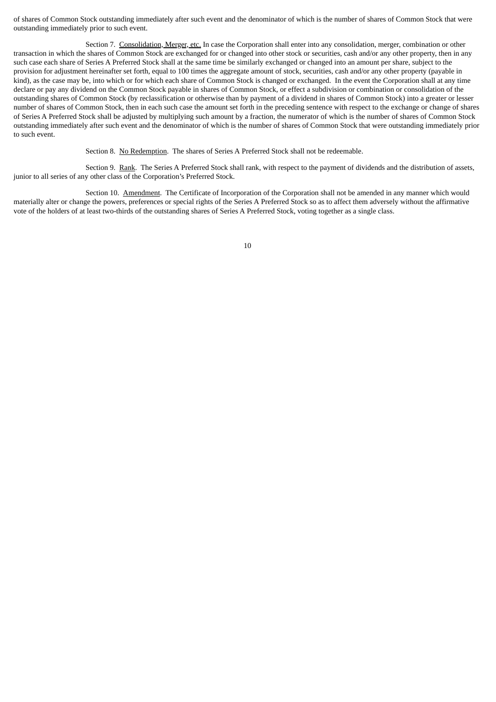of shares of Common Stock outstanding immediately after such event and the denominator of which is the number of shares of Common Stock that were outstanding immediately prior to such event.

Section 7. Consolidation, Merger, etc. In case the Corporation shall enter into any consolidation, merger, combination or other transaction in which the shares of Common Stock are exchanged for or changed into other stock or securities, cash and/or any other property, then in any such case each share of Series A Preferred Stock shall at the same time be similarly exchanged or changed into an amount per share, subject to the provision for adjustment hereinafter set forth, equal to 100 times the aggregate amount of stock, securities, cash and/or any other property (payable in kind), as the case may be, into which or for which each share of Common Stock is changed or exchanged. In the event the Corporation shall at any time declare or pay any dividend on the Common Stock payable in shares of Common Stock, or effect a subdivision or combination or consolidation of the outstanding shares of Common Stock (by reclassification or otherwise than by payment of a dividend in shares of Common Stock) into a greater or lesser number of shares of Common Stock, then in each such case the amount set forth in the preceding sentence with respect to the exchange or change of shares of Series A Preferred Stock shall be adjusted by multiplying such amount by a fraction, the numerator of which is the number of shares of Common Stock outstanding immediately after such event and the denominator of which is the number of shares of Common Stock that were outstanding immediately prior to such event.

Section 8. No Redemption. The shares of Series A Preferred Stock shall not be redeemable.

Section 9. Rank. The Series A Preferred Stock shall rank, with respect to the payment of dividends and the distribution of assets, junior to all series of any other class of the Corporation's Preferred Stock.

Section 10. Amendment. The Certificate of Incorporation of the Corporation shall not be amended in any manner which would materially alter or change the powers, preferences or special rights of the Series A Preferred Stock so as to affect them adversely without the affirmative vote of the holders of at least two-thirds of the outstanding shares of Series A Preferred Stock, voting together as a single class.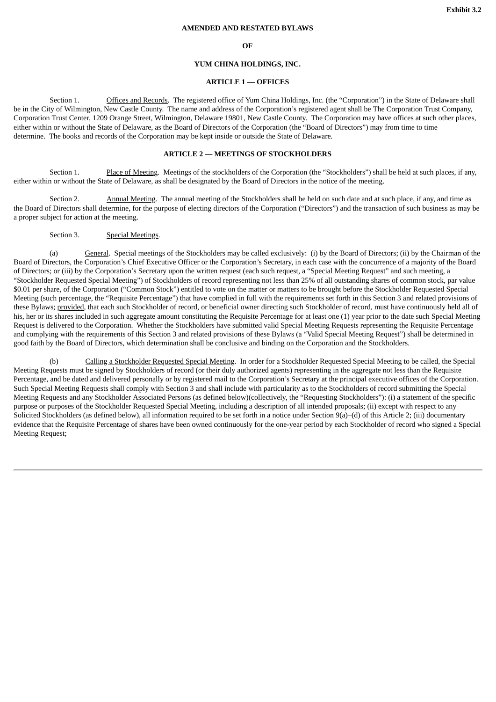#### **Exhibit 3.2**

#### **AMENDED AND RESTATED BYLAWS**

#### **OF**

#### **YUM CHINA HOLDINGS, INC.**

#### **ARTICLE 1 — OFFICES**

<span id="page-14-0"></span>Section 1. Offices and Records. The registered office of Yum China Holdings, Inc. (the "Corporation") in the State of Delaware shall be in the City of Wilmington, New Castle County. The name and address of the Corporation's registered agent shall be The Corporation Trust Company, Corporation Trust Center, 1209 Orange Street, Wilmington, Delaware 19801, New Castle County. The Corporation may have offices at such other places, either within or without the State of Delaware, as the Board of Directors of the Corporation (the "Board of Directors") may from time to time determine. The books and records of the Corporation may be kept inside or outside the State of Delaware.

#### **ARTICLE 2 — MEETINGS OF STOCKHOLDERS**

Section 1. Place of Meeting. Meetings of the stockholders of the Corporation (the "Stockholders") shall be held at such places, if any, either within or without the State of Delaware, as shall be designated by the Board of Directors in the notice of the meeting.

Section 2. Annual Meeting. The annual meeting of the Stockholders shall be held on such date and at such place, if any, and time as the Board of Directors shall determine, for the purpose of electing directors of the Corporation ("Directors") and the transaction of such business as may be a proper subject for action at the meeting.

#### Section 3. Special Meetings.

(a) General. Special meetings of the Stockholders may be called exclusively: (i) by the Board of Directors; (ii) by the Chairman of the Board of Directors, the Corporation's Chief Executive Officer or the Corporation's Secretary, in each case with the concurrence of a majority of the Board of Directors; or (iii) by the Corporation's Secretary upon the written request (each such request, a "Special Meeting Request" and such meeting, a "Stockholder Requested Special Meeting") of Stockholders of record representing not less than 25% of all outstanding shares of common stock, par value \$0.01 per share, of the Corporation ("Common Stock") entitled to vote on the matter or matters to be brought before the Stockholder Requested Special Meeting (such percentage, the "Requisite Percentage") that have complied in full with the requirements set forth in this Section 3 and related provisions of these Bylaws; provided, that each such Stockholder of record, or beneficial owner directing such Stockholder of record, must have continuously held all of his, her or its shares included in such aggregate amount constituting the Requisite Percentage for at least one (1) year prior to the date such Special Meeting Request is delivered to the Corporation. Whether the Stockholders have submitted valid Special Meeting Requests representing the Requisite Percentage and complying with the requirements of this Section 3 and related provisions of these Bylaws (a "Valid Special Meeting Request") shall be determined in good faith by the Board of Directors, which determination shall be conclusive and binding on the Corporation and the Stockholders.

(b) Calling a Stockholder Requested Special Meeting. In order for a Stockholder Requested Special Meeting to be called, the Special Meeting Requests must be signed by Stockholders of record (or their duly authorized agents) representing in the aggregate not less than the Requisite Percentage, and be dated and delivered personally or by registered mail to the Corporation's Secretary at the principal executive offices of the Corporation. Such Special Meeting Requests shall comply with Section 3 and shall include with particularity as to the Stockholders of record submitting the Special Meeting Requests and any Stockholder Associated Persons (as defined below)(collectively, the "Requesting Stockholders"): (i) a statement of the specific purpose or purposes of the Stockholder Requested Special Meeting, including a description of all intended proposals; (ii) except with respect to any Solicited Stockholders (as defined below), all information required to be set forth in a notice under Section 9(a)–(d) of this Article 2; (iii) documentary evidence that the Requisite Percentage of shares have been owned continuously for the one-year period by each Stockholder of record who signed a Special Meeting Request;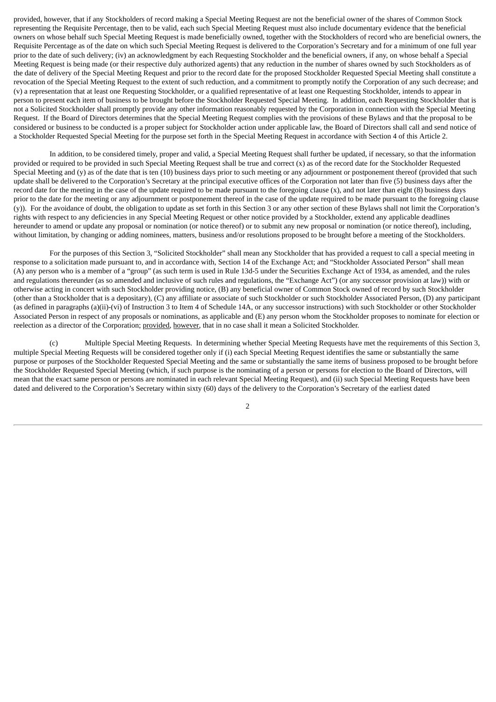provided, however, that if any Stockholders of record making a Special Meeting Request are not the beneficial owner of the shares of Common Stock representing the Requisite Percentage, then to be valid, each such Special Meeting Request must also include documentary evidence that the beneficial owners on whose behalf such Special Meeting Request is made beneficially owned, together with the Stockholders of record who are beneficial owners, the Requisite Percentage as of the date on which such Special Meeting Request is delivered to the Corporation's Secretary and for a minimum of one full year prior to the date of such delivery; (iv) an acknowledgment by each Requesting Stockholder and the beneficial owners, if any, on whose behalf a Special Meeting Request is being made (or their respective duly authorized agents) that any reduction in the number of shares owned by such Stockholders as of the date of delivery of the Special Meeting Request and prior to the record date for the proposed Stockholder Requested Special Meeting shall constitute a revocation of the Special Meeting Request to the extent of such reduction, and a commitment to promptly notify the Corporation of any such decrease; and (v) a representation that at least one Requesting Stockholder, or a qualified representative of at least one Requesting Stockholder, intends to appear in person to present each item of business to be brought before the Stockholder Requested Special Meeting. In addition, each Requesting Stockholder that is not a Solicited Stockholder shall promptly provide any other information reasonably requested by the Corporation in connection with the Special Meeting Request. If the Board of Directors determines that the Special Meeting Request complies with the provisions of these Bylaws and that the proposal to be considered or business to be conducted is a proper subject for Stockholder action under applicable law, the Board of Directors shall call and send notice of a Stockholder Requested Special Meeting for the purpose set forth in the Special Meeting Request in accordance with Section 4 of this Article 2.

In addition, to be considered timely, proper and valid, a Special Meeting Request shall further be updated, if necessary, so that the information provided or required to be provided in such Special Meeting Request shall be true and correct (x) as of the record date for the Stockholder Requested Special Meeting and  $(y)$  as of the date that is ten (10) business days prior to such meeting or any adjournment or postponement thereof (provided that such update shall be delivered to the Corporation's Secretary at the principal executive offices of the Corporation not later than five (5) business days after the record date for the meeting in the case of the update required to be made pursuant to the foregoing clause  $(x)$ , and not later than eight  $(8)$  business days prior to the date for the meeting or any adjournment or postponement thereof in the case of the update required to be made pursuant to the foregoing clause (y)). For the avoidance of doubt, the obligation to update as set forth in this Section 3 or any other section of these Bylaws shall not limit the Corporation's rights with respect to any deficiencies in any Special Meeting Request or other notice provided by a Stockholder, extend any applicable deadlines hereunder to amend or update any proposal or nomination (or notice thereof) or to submit any new proposal or nomination (or notice thereof), including, without limitation, by changing or adding nominees, matters, business and/or resolutions proposed to be brought before a meeting of the Stockholders.

For the purposes of this Section 3, "Solicited Stockholder" shall mean any Stockholder that has provided a request to call a special meeting in response to a solicitation made pursuant to, and in accordance with, Section 14 of the Exchange Act; and "Stockholder Associated Person" shall mean (A) any person who is a member of a "group" (as such term is used in Rule 13d‑5 under the Securities Exchange Act of 1934, as amended, and the rules and regulations thereunder (as so amended and inclusive of such rules and regulations, the "Exchange Act") (or any successor provision at law)) with or otherwise acting in concert with such Stockholder providing notice, (B) any beneficial owner of Common Stock owned of record by such Stockholder (other than a Stockholder that is a depositary), (C) any affiliate or associate of such Stockholder or such Stockholder Associated Person, (D) any participant (as defined in paragraphs (a)(ii)‑(vi) of Instruction 3 to Item 4 of Schedule 14A, or any successor instructions) with such Stockholder or other Stockholder Associated Person in respect of any proposals or nominations, as applicable and (E) any person whom the Stockholder proposes to nominate for election or reelection as a director of the Corporation; provided, however, that in no case shall it mean a Solicited Stockholder.

(c) Multiple Special Meeting Requests. In determining whether Special Meeting Requests have met the requirements of this Section 3, multiple Special Meeting Requests will be considered together only if (i) each Special Meeting Request identifies the same or substantially the same purpose or purposes of the Stockholder Requested Special Meeting and the same or substantially the same items of business proposed to be brought before the Stockholder Requested Special Meeting (which, if such purpose is the nominating of a person or persons for election to the Board of Directors, will mean that the exact same person or persons are nominated in each relevant Special Meeting Request), and (ii) such Special Meeting Requests have been dated and delivered to the Corporation's Secretary within sixty (60) days of the delivery to the Corporation's Secretary of the earliest dated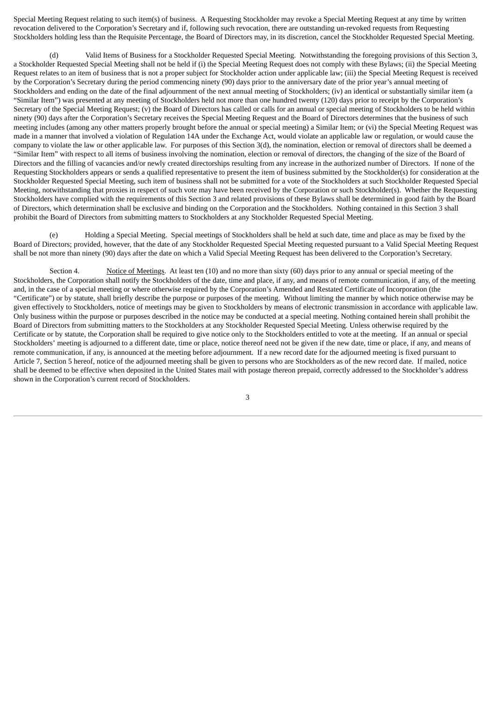Special Meeting Request relating to such item(s) of business. A Requesting Stockholder may revoke a Special Meeting Request at any time by written revocation delivered to the Corporation's Secretary and if, following such revocation, there are outstanding un-revoked requests from Requesting Stockholders holding less than the Requisite Percentage, the Board of Directors may, in its discretion, cancel the Stockholder Requested Special Meeting.

(d) Valid Items of Business for a Stockholder Requested Special Meeting. Notwithstanding the foregoing provisions of this Section 3, a Stockholder Requested Special Meeting shall not be held if (i) the Special Meeting Request does not comply with these Bylaws; (ii) the Special Meeting Request relates to an item of business that is not a proper subject for Stockholder action under applicable law; (iii) the Special Meeting Request is received by the Corporation's Secretary during the period commencing ninety (90) days prior to the anniversary date of the prior year's annual meeting of Stockholders and ending on the date of the final adjournment of the next annual meeting of Stockholders; (iv) an identical or substantially similar item (a "Similar Item") was presented at any meeting of Stockholders held not more than one hundred twenty (120) days prior to receipt by the Corporation's Secretary of the Special Meeting Request; (v) the Board of Directors has called or calls for an annual or special meeting of Stockholders to be held within ninety (90) days after the Corporation's Secretary receives the Special Meeting Request and the Board of Directors determines that the business of such meeting includes (among any other matters properly brought before the annual or special meeting) a Similar Item; or (vi) the Special Meeting Request was made in a manner that involved a violation of Regulation 14A under the Exchange Act, would violate an applicable law or regulation, or would cause the company to violate the law or other applicable law. For purposes of this Section 3(d), the nomination, election or removal of directors shall be deemed a "Similar Item" with respect to all items of business involving the nomination, election or removal of directors, the changing of the size of the Board of Directors and the filling of vacancies and/or newly created directorships resulting from any increase in the authorized number of Directors. If none of the Requesting Stockholders appears or sends a qualified representative to present the item of business submitted by the Stockholder(s) for consideration at the Stockholder Requested Special Meeting, such item of business shall not be submitted for a vote of the Stockholders at such Stockholder Requested Special Meeting, notwithstanding that proxies in respect of such vote may have been received by the Corporation or such Stockholder(s). Whether the Requesting Stockholders have complied with the requirements of this Section 3 and related provisions of these Bylaws shall be determined in good faith by the Board of Directors, which determination shall be exclusive and binding on the Corporation and the Stockholders. Nothing contained in this Section 3 shall prohibit the Board of Directors from submitting matters to Stockholders at any Stockholder Requested Special Meeting.

(e) Holding a Special Meeting. Special meetings of Stockholders shall be held at such date, time and place as may be fixed by the Board of Directors; provided, however, that the date of any Stockholder Requested Special Meeting requested pursuant to a Valid Special Meeting Request shall be not more than ninety (90) days after the date on which a Valid Special Meeting Request has been delivered to the Corporation's Secretary.

Section 4. Notice of Meetings. At least ten (10) and no more than sixty (60) days prior to any annual or special meeting of the Stockholders, the Corporation shall notify the Stockholders of the date, time and place, if any, and means of remote communication, if any, of the meeting and, in the case of a special meeting or where otherwise required by the Corporation's Amended and Restated Certificate of Incorporation (the "Certificate") or by statute, shall briefly describe the purpose or purposes of the meeting. Without limiting the manner by which notice otherwise may be given effectively to Stockholders, notice of meetings may be given to Stockholders by means of electronic transmission in accordance with applicable law. Only business within the purpose or purposes described in the notice may be conducted at a special meeting. Nothing contained herein shall prohibit the Board of Directors from submitting matters to the Stockholders at any Stockholder Requested Special Meeting. Unless otherwise required by the Certificate or by statute, the Corporation shall be required to give notice only to the Stockholders entitled to vote at the meeting. If an annual or special Stockholders' meeting is adjourned to a different date, time or place, notice thereof need not be given if the new date, time or place, if any, and means of remote communication, if any, is announced at the meeting before adjournment. If a new record date for the adjourned meeting is fixed pursuant to Article 7, Section 5 hereof, notice of the adjourned meeting shall be given to persons who are Stockholders as of the new record date. If mailed, notice shall be deemed to be effective when deposited in the United States mail with postage thereon prepaid, correctly addressed to the Stockholder's address shown in the Corporation's current record of Stockholders.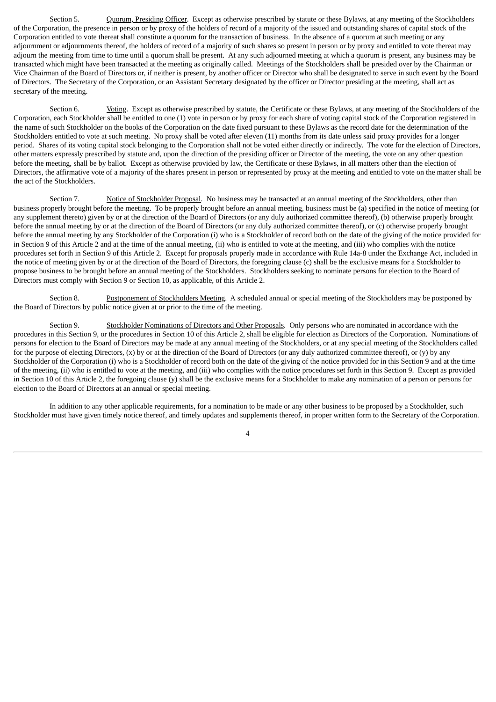Section 5. Quorum, Presiding Officer. Except as otherwise prescribed by statute or these Bylaws, at any meeting of the Stockholders of the Corporation, the presence in person or by proxy of the holders of record of a majority of the issued and outstanding shares of capital stock of the Corporation entitled to vote thereat shall constitute a quorum for the transaction of business. In the absence of a quorum at such meeting or any adjournment or adjournments thereof, the holders of record of a majority of such shares so present in person or by proxy and entitled to vote thereat may adjourn the meeting from time to time until a quorum shall be present. At any such adjourned meeting at which a quorum is present, any business may be transacted which might have been transacted at the meeting as originally called. Meetings of the Stockholders shall be presided over by the Chairman or Vice Chairman of the Board of Directors or, if neither is present, by another officer or Director who shall be designated to serve in such event by the Board of Directors. The Secretary of the Corporation, or an Assistant Secretary designated by the officer or Director presiding at the meeting, shall act as secretary of the meeting.

Section 6. Voting. Except as otherwise prescribed by statute, the Certificate or these Bylaws, at any meeting of the Stockholders of the Corporation, each Stockholder shall be entitled to one (1) vote in person or by proxy for each share of voting capital stock of the Corporation registered in the name of such Stockholder on the books of the Corporation on the date fixed pursuant to these Bylaws as the record date for the determination of the Stockholders entitled to vote at such meeting. No proxy shall be voted after eleven (11) months from its date unless said proxy provides for a longer period. Shares of its voting capital stock belonging to the Corporation shall not be voted either directly or indirectly. The vote for the election of Directors, other matters expressly prescribed by statute and, upon the direction of the presiding officer or Director of the meeting, the vote on any other question before the meeting, shall be by ballot. Except as otherwise provided by law, the Certificate or these Bylaws, in all matters other than the election of Directors, the affirmative vote of a majority of the shares present in person or represented by proxy at the meeting and entitled to vote on the matter shall be the act of the Stockholders.

Section 7. Notice of Stockholder Proposal. No business may be transacted at an annual meeting of the Stockholders, other than business properly brought before the meeting. To be properly brought before an annual meeting, business must be (a) specified in the notice of meeting (or any supplement thereto) given by or at the direction of the Board of Directors (or any duly authorized committee thereof), (b) otherwise properly brought before the annual meeting by or at the direction of the Board of Directors (or any duly authorized committee thereof), or (c) otherwise properly brought before the annual meeting by any Stockholder of the Corporation (i) who is a Stockholder of record both on the date of the giving of the notice provided for in Section 9 of this Article 2 and at the time of the annual meeting, (ii) who is entitled to vote at the meeting, and (iii) who complies with the notice procedures set forth in Section 9 of this Article 2. Except for proposals properly made in accordance with Rule 14a-8 under the Exchange Act, included in the notice of meeting given by or at the direction of the Board of Directors, the foregoing clause (c) shall be the exclusive means for a Stockholder to propose business to be brought before an annual meeting of the Stockholders. Stockholders seeking to nominate persons for election to the Board of Directors must comply with Section 9 or Section 10, as applicable, of this Article 2.

Section 8. Postponement of Stockholders Meeting. A scheduled annual or special meeting of the Stockholders may be postponed by the Board of Directors by public notice given at or prior to the time of the meeting.

Section 9. Stockholder Nominations of Directors and Other Proposals. Only persons who are nominated in accordance with the procedures in this Section 9, or the procedures in Section 10 of this Article 2, shall be eligible for election as Directors of the Corporation. Nominations of persons for election to the Board of Directors may be made at any annual meeting of the Stockholders, or at any special meeting of the Stockholders called for the purpose of electing Directors,  $(x)$  by or at the direction of the Board of Directors (or any duly authorized committee thereof), or  $(y)$  by any Stockholder of the Corporation (i) who is a Stockholder of record both on the date of the giving of the notice provided for in this Section 9 and at the time of the meeting, (ii) who is entitled to vote at the meeting, and (iii) who complies with the notice procedures set forth in this Section 9. Except as provided in Section 10 of this Article 2, the foregoing clause (y) shall be the exclusive means for a Stockholder to make any nomination of a person or persons for election to the Board of Directors at an annual or special meeting.

In addition to any other applicable requirements, for a nomination to be made or any other business to be proposed by a Stockholder, such Stockholder must have given timely notice thereof, and timely updates and supplements thereof, in proper written form to the Secretary of the Corporation.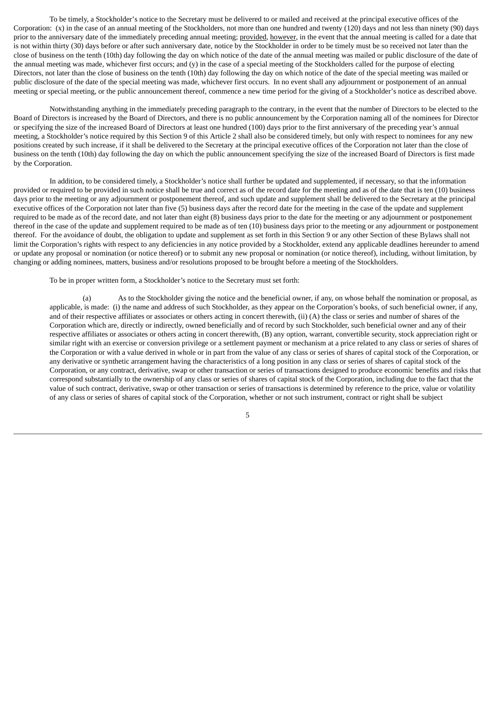To be timely, a Stockholder's notice to the Secretary must be delivered to or mailed and received at the principal executive offices of the Corporation: (x) in the case of an annual meeting of the Stockholders, not more than one hundred and twenty (120) days and not less than ninety (90) days prior to the anniversary date of the immediately preceding annual meeting; provided, however, in the event that the annual meeting is called for a date that is not within thirty (30) days before or after such anniversary date, notice by the Stockholder in order to be timely must be so received not later than the close of business on the tenth (10th) day following the day on which notice of the date of the annual meeting was mailed or public disclosure of the date of the annual meeting was made, whichever first occurs; and (y) in the case of a special meeting of the Stockholders called for the purpose of electing Directors, not later than the close of business on the tenth (10th) day following the day on which notice of the date of the special meeting was mailed or public disclosure of the date of the special meeting was made, whichever first occurs. In no event shall any adjournment or postponement of an annual meeting or special meeting, or the public announcement thereof, commence a new time period for the giving of a Stockholder's notice as described above.

Notwithstanding anything in the immediately preceding paragraph to the contrary, in the event that the number of Directors to be elected to the Board of Directors is increased by the Board of Directors, and there is no public announcement by the Corporation naming all of the nominees for Director or specifying the size of the increased Board of Directors at least one hundred (100) days prior to the first anniversary of the preceding year's annual meeting, a Stockholder's notice required by this Section 9 of this Article 2 shall also be considered timely, but only with respect to nominees for any new positions created by such increase, if it shall be delivered to the Secretary at the principal executive offices of the Corporation not later than the close of business on the tenth (10th) day following the day on which the public announcement specifying the size of the increased Board of Directors is first made by the Corporation.

In addition, to be considered timely, a Stockholder's notice shall further be updated and supplemented, if necessary, so that the information provided or required to be provided in such notice shall be true and correct as of the record date for the meeting and as of the date that is ten (10) business days prior to the meeting or any adjournment or postponement thereof, and such update and supplement shall be delivered to the Secretary at the principal executive offices of the Corporation not later than five (5) business days after the record date for the meeting in the case of the update and supplement required to be made as of the record date, and not later than eight (8) business days prior to the date for the meeting or any adjournment or postponement thereof in the case of the update and supplement required to be made as of ten (10) business days prior to the meeting or any adjournment or postponement thereof. For the avoidance of doubt, the obligation to update and supplement as set forth in this Section 9 or any other Section of these Bylaws shall not limit the Corporation's rights with respect to any deficiencies in any notice provided by a Stockholder, extend any applicable deadlines hereunder to amend or update any proposal or nomination (or notice thereof) or to submit any new proposal or nomination (or notice thereof), including, without limitation, by changing or adding nominees, matters, business and/or resolutions proposed to be brought before a meeting of the Stockholders.

To be in proper written form, a Stockholder's notice to the Secretary must set forth:

(a) As to the Stockholder giving the notice and the beneficial owner, if any, on whose behalf the nomination or proposal, as applicable, is made: (i) the name and address of such Stockholder, as they appear on the Corporation's books, of such beneficial owner, if any, and of their respective affiliates or associates or others acting in concert therewith, (ii) (A) the class or series and number of shares of the Corporation which are, directly or indirectly, owned beneficially and of record by such Stockholder, such beneficial owner and any of their respective affiliates or associates or others acting in concert therewith, (B) any option, warrant, convertible security, stock appreciation right or similar right with an exercise or conversion privilege or a settlement payment or mechanism at a price related to any class or series of shares of the Corporation or with a value derived in whole or in part from the value of any class or series of shares of capital stock of the Corporation, or any derivative or synthetic arrangement having the characteristics of a long position in any class or series of shares of capital stock of the Corporation, or any contract, derivative, swap or other transaction or series of transactions designed to produce economic benefits and risks that correspond substantially to the ownership of any class or series of shares of capital stock of the Corporation, including due to the fact that the value of such contract, derivative, swap or other transaction or series of transactions is determined by reference to the price, value or volatility of any class or series of shares of capital stock of the Corporation, whether or not such instrument, contract or right shall be subject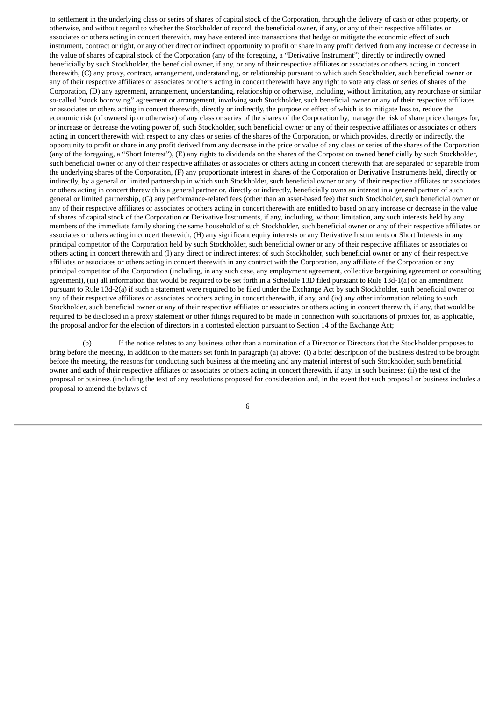to settlement in the underlying class or series of shares of capital stock of the Corporation, through the delivery of cash or other property, or otherwise, and without regard to whether the Stockholder of record, the beneficial owner, if any, or any of their respective affiliates or associates or others acting in concert therewith, may have entered into transactions that hedge or mitigate the economic effect of such instrument, contract or right, or any other direct or indirect opportunity to profit or share in any profit derived from any increase or decrease in the value of shares of capital stock of the Corporation (any of the foregoing, a "Derivative Instrument") directly or indirectly owned beneficially by such Stockholder, the beneficial owner, if any, or any of their respective affiliates or associates or others acting in concert therewith, (C) any proxy, contract, arrangement, understanding, or relationship pursuant to which such Stockholder, such beneficial owner or any of their respective affiliates or associates or others acting in concert therewith have any right to vote any class or series of shares of the Corporation, (D) any agreement, arrangement, understanding, relationship or otherwise, including, without limitation, any repurchase or similar so-called "stock borrowing" agreement or arrangement, involving such Stockholder, such beneficial owner or any of their respective affiliates or associates or others acting in concert therewith, directly or indirectly, the purpose or effect of which is to mitigate loss to, reduce the economic risk (of ownership or otherwise) of any class or series of the shares of the Corporation by, manage the risk of share price changes for, or increase or decrease the voting power of, such Stockholder, such beneficial owner or any of their respective affiliates or associates or others acting in concert therewith with respect to any class or series of the shares of the Corporation, or which provides, directly or indirectly, the opportunity to profit or share in any profit derived from any decrease in the price or value of any class or series of the shares of the Corporation (any of the foregoing, a "Short Interest"), (E) any rights to dividends on the shares of the Corporation owned beneficially by such Stockholder, such beneficial owner or any of their respective affiliates or associates or others acting in concert therewith that are separated or separable from the underlying shares of the Corporation, (F) any proportionate interest in shares of the Corporation or Derivative Instruments held, directly or indirectly, by a general or limited partnership in which such Stockholder, such beneficial owner or any of their respective affiliates or associates or others acting in concert therewith is a general partner or, directly or indirectly, beneficially owns an interest in a general partner of such general or limited partnership, (G) any performance-related fees (other than an asset-based fee) that such Stockholder, such beneficial owner or any of their respective affiliates or associates or others acting in concert therewith are entitled to based on any increase or decrease in the value of shares of capital stock of the Corporation or Derivative Instruments, if any, including, without limitation, any such interests held by any members of the immediate family sharing the same household of such Stockholder, such beneficial owner or any of their respective affiliates or associates or others acting in concert therewith, (H) any significant equity interests or any Derivative Instruments or Short Interests in any principal competitor of the Corporation held by such Stockholder, such beneficial owner or any of their respective affiliates or associates or others acting in concert therewith and (I) any direct or indirect interest of such Stockholder, such beneficial owner or any of their respective affiliates or associates or others acting in concert therewith in any contract with the Corporation, any affiliate of the Corporation or any principal competitor of the Corporation (including, in any such case, any employment agreement, collective bargaining agreement or consulting agreement), (iii) all information that would be required to be set forth in a Schedule 13D filed pursuant to Rule 13d-1(a) or an amendment pursuant to Rule 13d-2(a) if such a statement were required to be filed under the Exchange Act by such Stockholder, such beneficial owner or any of their respective affiliates or associates or others acting in concert therewith, if any, and (iv) any other information relating to such Stockholder, such beneficial owner or any of their respective affiliates or associates or others acting in concert therewith, if any, that would be required to be disclosed in a proxy statement or other filings required to be made in connection with solicitations of proxies for, as applicable, the proposal and/or for the election of directors in a contested election pursuant to Section 14 of the Exchange Act;

(b) If the notice relates to any business other than a nomination of a Director or Directors that the Stockholder proposes to bring before the meeting, in addition to the matters set forth in paragraph (a) above: (i) a brief description of the business desired to be brought before the meeting, the reasons for conducting such business at the meeting and any material interest of such Stockholder, such beneficial owner and each of their respective affiliates or associates or others acting in concert therewith, if any, in such business; (ii) the text of the proposal or business (including the text of any resolutions proposed for consideration and, in the event that such proposal or business includes a proposal to amend the bylaws of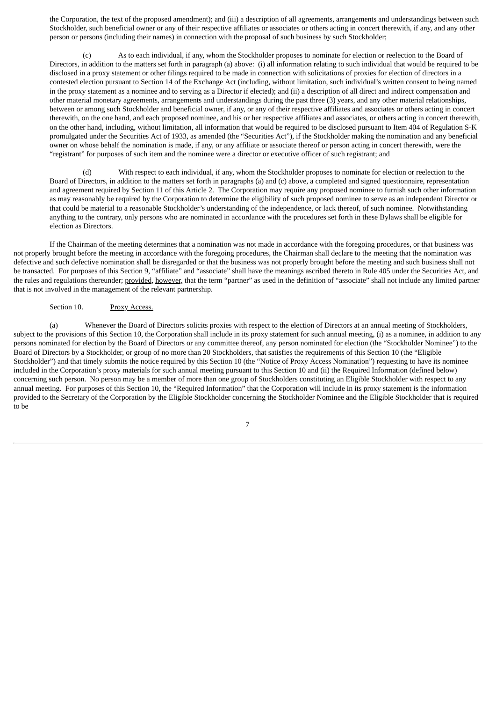the Corporation, the text of the proposed amendment); and (iii) a description of all agreements, arrangements and understandings between such Stockholder, such beneficial owner or any of their respective affiliates or associates or others acting in concert therewith, if any, and any other person or persons (including their names) in connection with the proposal of such business by such Stockholder;

(c) As to each individual, if any, whom the Stockholder proposes to nominate for election or reelection to the Board of Directors, in addition to the matters set forth in paragraph (a) above: (i) all information relating to such individual that would be required to be disclosed in a proxy statement or other filings required to be made in connection with solicitations of proxies for election of directors in a contested election pursuant to Section 14 of the Exchange Act (including, without limitation, such individual's written consent to being named in the proxy statement as a nominee and to serving as a Director if elected); and (ii) a description of all direct and indirect compensation and other material monetary agreements, arrangements and understandings during the past three (3) years, and any other material relationships, between or among such Stockholder and beneficial owner, if any, or any of their respective affiliates and associates or others acting in concert therewith, on the one hand, and each proposed nominee, and his or her respective affiliates and associates, or others acting in concert therewith, on the other hand, including, without limitation, all information that would be required to be disclosed pursuant to Item 404 of Regulation S-K promulgated under the Securities Act of 1933, as amended (the "Securities Act"), if the Stockholder making the nomination and any beneficial owner on whose behalf the nomination is made, if any, or any affiliate or associate thereof or person acting in concert therewith, were the "registrant" for purposes of such item and the nominee were a director or executive officer of such registrant; and

(d) With respect to each individual, if any, whom the Stockholder proposes to nominate for election or reelection to the Board of Directors, in addition to the matters set forth in paragraphs (a) and (c) above, a completed and signed questionnaire, representation and agreement required by Section 11 of this Article 2. The Corporation may require any proposed nominee to furnish such other information as may reasonably be required by the Corporation to determine the eligibility of such proposed nominee to serve as an independent Director or that could be material to a reasonable Stockholder's understanding of the independence, or lack thereof, of such nominee. Notwithstanding anything to the contrary, only persons who are nominated in accordance with the procedures set forth in these Bylaws shall be eligible for election as Directors.

If the Chairman of the meeting determines that a nomination was not made in accordance with the foregoing procedures, or that business was not properly brought before the meeting in accordance with the foregoing procedures, the Chairman shall declare to the meeting that the nomination was defective and such defective nomination shall be disregarded or that the business was not properly brought before the meeting and such business shall not be transacted. For purposes of this Section 9, "affiliate" and "associate" shall have the meanings ascribed thereto in Rule 405 under the Securities Act, and the rules and regulations thereunder; provided, however, that the term "partner" as used in the definition of "associate" shall not include any limited partner that is not involved in the management of the relevant partnership.

## Section 10. Proxy Access.

(a) Whenever the Board of Directors solicits proxies with respect to the election of Directors at an annual meeting of Stockholders, subject to the provisions of this Section 10, the Corporation shall include in its proxy statement for such annual meeting, (i) as a nominee, in addition to any persons nominated for election by the Board of Directors or any committee thereof, any person nominated for election (the "Stockholder Nominee") to the Board of Directors by a Stockholder, or group of no more than 20 Stockholders, that satisfies the requirements of this Section 10 (the "Eligible Stockholder") and that timely submits the notice required by this Section 10 (the "Notice of Proxy Access Nomination") requesting to have its nominee included in the Corporation's proxy materials for such annual meeting pursuant to this Section 10 and (ii) the Required Information (defined below) concerning such person. No person may be a member of more than one group of Stockholders constituting an Eligible Stockholder with respect to any annual meeting. For purposes of this Section 10, the "Required Information" that the Corporation will include in its proxy statement is the information provided to the Secretary of the Corporation by the Eligible Stockholder concerning the Stockholder Nominee and the Eligible Stockholder that is required to be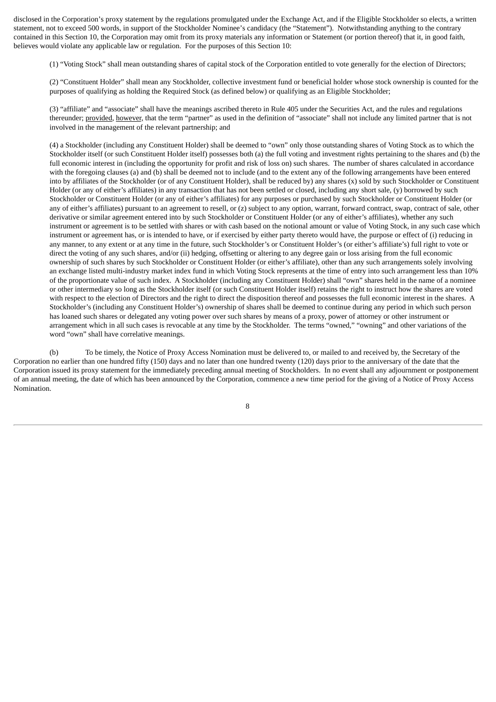disclosed in the Corporation's proxy statement by the regulations promulgated under the Exchange Act, and if the Eligible Stockholder so elects, a written statement, not to exceed 500 words, in support of the Stockholder Nominee's candidacy (the "Statement"). Notwithstanding anything to the contrary contained in this Section 10, the Corporation may omit from its proxy materials any information or Statement (or portion thereof) that it, in good faith, believes would violate any applicable law or regulation. For the purposes of this Section 10:

(1) "Voting Stock" shall mean outstanding shares of capital stock of the Corporation entitled to vote generally for the election of Directors;

(2) "Constituent Holder" shall mean any Stockholder, collective investment fund or beneficial holder whose stock ownership is counted for the purposes of qualifying as holding the Required Stock (as defined below) or qualifying as an Eligible Stockholder;

(3) "affiliate" and "associate" shall have the meanings ascribed thereto in Rule 405 under the Securities Act, and the rules and regulations thereunder; provided, however, that the term "partner" as used in the definition of "associate" shall not include any limited partner that is not involved in the management of the relevant partnership; and

(4) a Stockholder (including any Constituent Holder) shall be deemed to "own" only those outstanding shares of Voting Stock as to which the Stockholder itself (or such Constituent Holder itself) possesses both (a) the full voting and investment rights pertaining to the shares and (b) the full economic interest in (including the opportunity for profit and risk of loss on) such shares. The number of shares calculated in accordance with the foregoing clauses (a) and (b) shall be deemed not to include (and to the extent any of the following arrangements have been entered into by affiliates of the Stockholder (or of any Constituent Holder), shall be reduced by) any shares (x) sold by such Stockholder or Constituent Holder (or any of either's affiliates) in any transaction that has not been settled or closed, including any short sale, (y) borrowed by such Stockholder or Constituent Holder (or any of either's affiliates) for any purposes or purchased by such Stockholder or Constituent Holder (or any of either's affiliates) pursuant to an agreement to resell, or (z) subject to any option, warrant, forward contract, swap, contract of sale, other derivative or similar agreement entered into by such Stockholder or Constituent Holder (or any of either's affiliates), whether any such instrument or agreement is to be settled with shares or with cash based on the notional amount or value of Voting Stock, in any such case which instrument or agreement has, or is intended to have, or if exercised by either party thereto would have, the purpose or effect of (i) reducing in any manner, to any extent or at any time in the future, such Stockholder's or Constituent Holder's (or either's affiliate's) full right to vote or direct the voting of any such shares, and/or (ii) hedging, offsetting or altering to any degree gain or loss arising from the full economic ownership of such shares by such Stockholder or Constituent Holder (or either's affiliate), other than any such arrangements solely involving an exchange listed multi-industry market index fund in which Voting Stock represents at the time of entry into such arrangement less than 10% of the proportionate value of such index. A Stockholder (including any Constituent Holder) shall "own" shares held in the name of a nominee or other intermediary so long as the Stockholder itself (or such Constituent Holder itself) retains the right to instruct how the shares are voted with respect to the election of Directors and the right to direct the disposition thereof and possesses the full economic interest in the shares. A Stockholder's (including any Constituent Holder's) ownership of shares shall be deemed to continue during any period in which such person has loaned such shares or delegated any voting power over such shares by means of a proxy, power of attorney or other instrument or arrangement which in all such cases is revocable at any time by the Stockholder. The terms "owned," "owning" and other variations of the word "own" shall have correlative meanings.

(b) To be timely, the Notice of Proxy Access Nomination must be delivered to, or mailed to and received by, the Secretary of the Corporation no earlier than one hundred fifty (150) days and no later than one hundred twenty (120) days prior to the anniversary of the date that the Corporation issued its proxy statement for the immediately preceding annual meeting of Stockholders. In no event shall any adjournment or postponement of an annual meeting, the date of which has been announced by the Corporation, commence a new time period for the giving of a Notice of Proxy Access Nomination.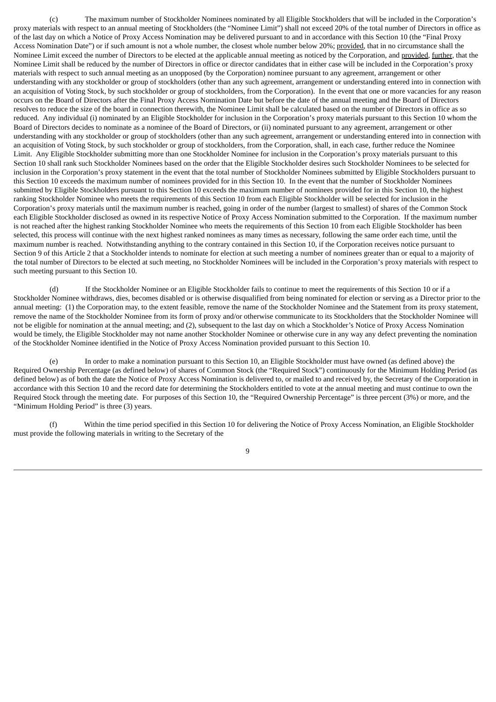(c) The maximum number of Stockholder Nominees nominated by all Eligible Stockholders that will be included in the Corporation's proxy materials with respect to an annual meeting of Stockholders (the "Nominee Limit") shall not exceed 20% of the total number of Directors in office as of the last day on which a Notice of Proxy Access Nomination may be delivered pursuant to and in accordance with this Section 10 (the "Final Proxy Access Nomination Date") or if such amount is not a whole number, the closest whole number below 20%; provided, that in no circumstance shall the Nominee Limit exceed the number of Directors to be elected at the applicable annual meeting as noticed by the Corporation, and provided, further, that the Nominee Limit shall be reduced by the number of Directors in office or director candidates that in either case will be included in the Corporation's proxy materials with respect to such annual meeting as an unopposed (by the Corporation) nominee pursuant to any agreement, arrangement or other understanding with any stockholder or group of stockholders (other than any such agreement, arrangement or understanding entered into in connection with an acquisition of Voting Stock, by such stockholder or group of stockholders, from the Corporation). In the event that one or more vacancies for any reason occurs on the Board of Directors after the Final Proxy Access Nomination Date but before the date of the annual meeting and the Board of Directors resolves to reduce the size of the board in connection therewith, the Nominee Limit shall be calculated based on the number of Directors in office as so reduced. Any individual (i) nominated by an Eligible Stockholder for inclusion in the Corporation's proxy materials pursuant to this Section 10 whom the Board of Directors decides to nominate as a nominee of the Board of Directors, or (ii) nominated pursuant to any agreement, arrangement or other understanding with any stockholder or group of stockholders (other than any such agreement, arrangement or understanding entered into in connection with an acquisition of Voting Stock, by such stockholder or group of stockholders, from the Corporation, shall, in each case, further reduce the Nominee Limit. Any Eligible Stockholder submitting more than one Stockholder Nominee for inclusion in the Corporation's proxy materials pursuant to this Section 10 shall rank such Stockholder Nominees based on the order that the Eligible Stockholder desires such Stockholder Nominees to be selected for inclusion in the Corporation's proxy statement in the event that the total number of Stockholder Nominees submitted by Eligible Stockholders pursuant to this Section 10 exceeds the maximum number of nominees provided for in this Section 10. In the event that the number of Stockholder Nominees submitted by Eligible Stockholders pursuant to this Section 10 exceeds the maximum number of nominees provided for in this Section 10, the highest ranking Stockholder Nominee who meets the requirements of this Section 10 from each Eligible Stockholder will be selected for inclusion in the Corporation's proxy materials until the maximum number is reached, going in order of the number (largest to smallest) of shares of the Common Stock each Eligible Stockholder disclosed as owned in its respective Notice of Proxy Access Nomination submitted to the Corporation. If the maximum number is not reached after the highest ranking Stockholder Nominee who meets the requirements of this Section 10 from each Eligible Stockholder has been selected, this process will continue with the next highest ranked nominees as many times as necessary, following the same order each time, until the maximum number is reached. Notwithstanding anything to the contrary contained in this Section 10, if the Corporation receives notice pursuant to Section 9 of this Article 2 that a Stockholder intends to nominate for election at such meeting a number of nominees greater than or equal to a majority of the total number of Directors to be elected at such meeting, no Stockholder Nominees will be included in the Corporation's proxy materials with respect to such meeting pursuant to this Section 10.

(d) If the Stockholder Nominee or an Eligible Stockholder fails to continue to meet the requirements of this Section 10 or if a Stockholder Nominee withdraws, dies, becomes disabled or is otherwise disqualified from being nominated for election or serving as a Director prior to the annual meeting: (1) the Corporation may, to the extent feasible, remove the name of the Stockholder Nominee and the Statement from its proxy statement, remove the name of the Stockholder Nominee from its form of proxy and/or otherwise communicate to its Stockholders that the Stockholder Nominee will not be eligible for nomination at the annual meeting; and (2), subsequent to the last day on which a Stockholder's Notice of Proxy Access Nomination would be timely, the Eligible Stockholder may not name another Stockholder Nominee or otherwise cure in any way any defect preventing the nomination of the Stockholder Nominee identified in the Notice of Proxy Access Nomination provided pursuant to this Section 10.

(e) In order to make a nomination pursuant to this Section 10, an Eligible Stockholder must have owned (as defined above) the Required Ownership Percentage (as defined below) of shares of Common Stock (the "Required Stock") continuously for the Minimum Holding Period (as defined below) as of both the date the Notice of Proxy Access Nomination is delivered to, or mailed to and received by, the Secretary of the Corporation in accordance with this Section 10 and the record date for determining the Stockholders entitled to vote at the annual meeting and must continue to own the Required Stock through the meeting date. For purposes of this Section 10, the "Required Ownership Percentage" is three percent (3%) or more, and the "Minimum Holding Period" is three (3) years.

(f) Within the time period specified in this Section 10 for delivering the Notice of Proxy Access Nomination, an Eligible Stockholder must provide the following materials in writing to the Secretary of the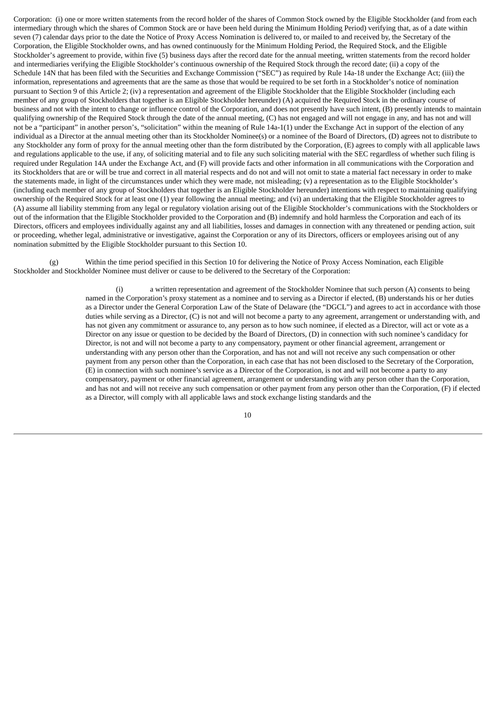Corporation: (i) one or more written statements from the record holder of the shares of Common Stock owned by the Eligible Stockholder (and from each intermediary through which the shares of Common Stock are or have been held during the Minimum Holding Period) verifying that, as of a date within seven (7) calendar days prior to the date the Notice of Proxy Access Nomination is delivered to, or mailed to and received by, the Secretary of the Corporation, the Eligible Stockholder owns, and has owned continuously for the Minimum Holding Period, the Required Stock, and the Eligible Stockholder's agreement to provide, within five (5) business days after the record date for the annual meeting, written statements from the record holder and intermediaries verifying the Eligible Stockholder's continuous ownership of the Required Stock through the record date; (ii) a copy of the Schedule 14N that has been filed with the Securities and Exchange Commission ("SEC") as required by Rule 14a-18 under the Exchange Act; (iii) the information, representations and agreements that are the same as those that would be required to be set forth in a Stockholder's notice of nomination pursuant to Section 9 of this Article 2; (iv) a representation and agreement of the Eligible Stockholder that the Eligible Stockholder (including each member of any group of Stockholders that together is an Eligible Stockholder hereunder) (A) acquired the Required Stock in the ordinary course of business and not with the intent to change or influence control of the Corporation, and does not presently have such intent, (B) presently intends to maintain qualifying ownership of the Required Stock through the date of the annual meeting, (C) has not engaged and will not engage in any, and has not and will not be a "participant" in another person's, "solicitation" within the meaning of Rule 14a-1(1) under the Exchange Act in support of the election of any individual as a Director at the annual meeting other than its Stockholder Nominee(s) or a nominee of the Board of Directors, (D) agrees not to distribute to any Stockholder any form of proxy for the annual meeting other than the form distributed by the Corporation, (E) agrees to comply with all applicable laws and regulations applicable to the use, if any, of soliciting material and to file any such soliciting material with the SEC regardless of whether such filing is required under Regulation 14A under the Exchange Act, and (F) will provide facts and other information in all communications with the Corporation and its Stockholders that are or will be true and correct in all material respects and do not and will not omit to state a material fact necessary in order to make the statements made, in light of the circumstances under which they were made, not misleading; (v) a representation as to the Eligible Stockholder's (including each member of any group of Stockholders that together is an Eligible Stockholder hereunder) intentions with respect to maintaining qualifying ownership of the Required Stock for at least one (1) year following the annual meeting; and (vi) an undertaking that the Eligible Stockholder agrees to (A) assume all liability stemming from any legal or regulatory violation arising out of the Eligible Stockholder's communications with the Stockholders or out of the information that the Eligible Stockholder provided to the Corporation and (B) indemnify and hold harmless the Corporation and each of its Directors, officers and employees individually against any and all liabilities, losses and damages in connection with any threatened or pending action, suit or proceeding, whether legal, administrative or investigative, against the Corporation or any of its Directors, officers or employees arising out of any nomination submitted by the Eligible Stockholder pursuant to this Section 10.

(g) Within the time period specified in this Section 10 for delivering the Notice of Proxy Access Nomination, each Eligible Stockholder and Stockholder Nominee must deliver or cause to be delivered to the Secretary of the Corporation:

> (i) a written representation and agreement of the Stockholder Nominee that such person (A) consents to being named in the Corporation's proxy statement as a nominee and to serving as a Director if elected, (B) understands his or her duties as a Director under the General Corporation Law of the State of Delaware (the "DGCL") and agrees to act in accordance with those duties while serving as a Director, (C) is not and will not become a party to any agreement, arrangement or understanding with, and has not given any commitment or assurance to, any person as to how such nominee, if elected as a Director, will act or vote as a Director on any issue or question to be decided by the Board of Directors, (D) in connection with such nominee's candidacy for Director, is not and will not become a party to any compensatory, payment or other financial agreement, arrangement or understanding with any person other than the Corporation, and has not and will not receive any such compensation or other payment from any person other than the Corporation, in each case that has not been disclosed to the Secretary of the Corporation, (E) in connection with such nominee's service as a Director of the Corporation, is not and will not become a party to any compensatory, payment or other financial agreement, arrangement or understanding with any person other than the Corporation, and has not and will not receive any such compensation or other payment from any person other than the Corporation, (F) if elected as a Director, will comply with all applicable laws and stock exchange listing standards and the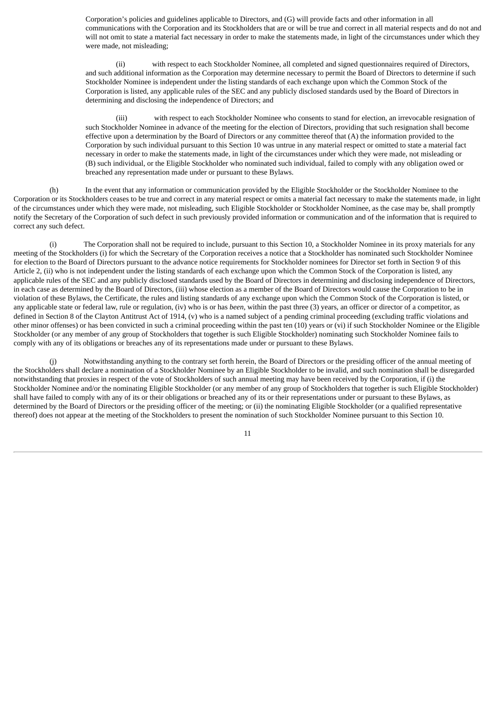Corporation's policies and guidelines applicable to Directors, and (G) will provide facts and other information in all communications with the Corporation and its Stockholders that are or will be true and correct in all material respects and do not and will not omit to state a material fact necessary in order to make the statements made, in light of the circumstances under which they were made, not misleading;

(ii) with respect to each Stockholder Nominee, all completed and signed questionnaires required of Directors, and such additional information as the Corporation may determine necessary to permit the Board of Directors to determine if such Stockholder Nominee is independent under the listing standards of each exchange upon which the Common Stock of the Corporation is listed, any applicable rules of the SEC and any publicly disclosed standards used by the Board of Directors in determining and disclosing the independence of Directors; and

(iii) with respect to each Stockholder Nominee who consents to stand for election, an irrevocable resignation of such Stockholder Nominee in advance of the meeting for the election of Directors, providing that such resignation shall become effective upon a determination by the Board of Directors or any committee thereof that (A) the information provided to the Corporation by such individual pursuant to this Section 10 was untrue in any material respect or omitted to state a material fact necessary in order to make the statements made, in light of the circumstances under which they were made, not misleading or (B) such individual, or the Eligible Stockholder who nominated such individual, failed to comply with any obligation owed or breached any representation made under or pursuant to these Bylaws.

(h) In the event that any information or communication provided by the Eligible Stockholder or the Stockholder Nominee to the Corporation or its Stockholders ceases to be true and correct in any material respect or omits a material fact necessary to make the statements made, in light of the circumstances under which they were made, not misleading, such Eligible Stockholder or Stockholder Nominee, as the case may be, shall promptly notify the Secretary of the Corporation of such defect in such previously provided information or communication and of the information that is required to correct any such defect.

(i) The Corporation shall not be required to include, pursuant to this Section 10, a Stockholder Nominee in its proxy materials for any meeting of the Stockholders (i) for which the Secretary of the Corporation receives a notice that a Stockholder has nominated such Stockholder Nominee for election to the Board of Directors pursuant to the advance notice requirements for Stockholder nominees for Director set forth in Section 9 of this Article 2, (ii) who is not independent under the listing standards of each exchange upon which the Common Stock of the Corporation is listed, any applicable rules of the SEC and any publicly disclosed standards used by the Board of Directors in determining and disclosing independence of Directors, in each case as determined by the Board of Directors, (iii) whose election as a member of the Board of Directors would cause the Corporation to be in violation of these Bylaws, the Certificate, the rules and listing standards of any exchange upon which the Common Stock of the Corporation is listed, or any applicable state or federal law, rule or regulation, (iv) who is or has *been,* within the past three (3) years, an officer or director of a competitor, as defined in Section 8 of the Clayton Antitrust Act of 1914, (v) who is a named subject of a pending criminal proceeding (excluding traffic violations and other minor offenses) or has been convicted in such a criminal proceeding within the past ten (10) years or (vi) if such Stockholder Nominee or the Eligible Stockholder (or any member of any group of Stockholders that together is such Eligible Stockholder) nominating such Stockholder Nominee fails to comply with any of its obligations or breaches any of its representations made under or pursuant to these Bylaws.

(j) Notwithstanding anything to the contrary set forth herein, the Board of Directors or the presiding officer of the annual meeting of the Stockholders shall declare a nomination of a Stockholder Nominee by an Eligible Stockholder to be invalid, and such nomination shall be disregarded notwithstanding that proxies in respect of the vote of Stockholders of such annual meeting may have been received by the Corporation, if (i) the Stockholder Nominee and/or the nominating Eligible Stockholder (or any member of any group of Stockholders that together is such Eligible Stockholder) shall have failed to comply with any of its or their obligations or breached any of its or their representations under or pursuant to these Bylaws, as determined by the Board of Directors or the presiding officer of the meeting; or (ii) the nominating Eligible Stockholder (or a qualified representative thereof) does not appear at the meeting of the Stockholders to present the nomination of such Stockholder Nominee pursuant to this Section 10.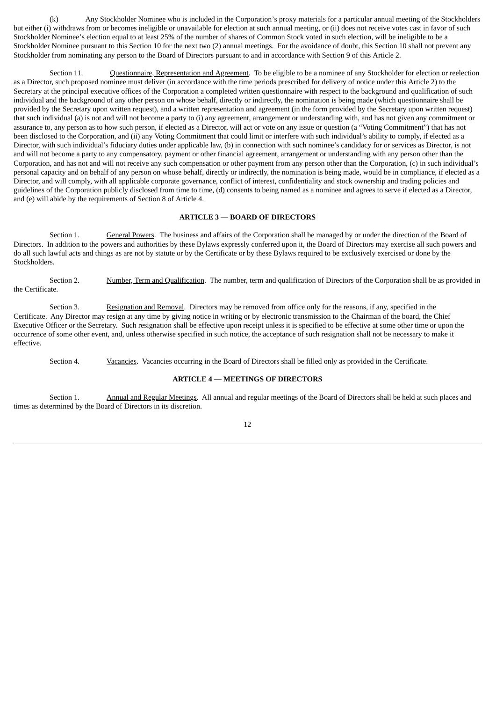(k) Any Stockholder Nominee who is included in the Corporation's proxy materials for a particular annual meeting of the Stockholders but either (i) withdraws from or becomes ineligible or unavailable for election at such annual meeting, or (ii) does not receive votes cast in favor of such Stockholder Nominee's election equal to at least 25% of the number of shares of Common Stock voted in such election, will be ineligible to be a Stockholder Nominee pursuant to this Section 10 for the next two (2) annual meetings. For the avoidance of doubt, this Section 10 shall not prevent any Stockholder from nominating any person to the Board of Directors pursuant to and in accordance with Section 9 of this Article 2.

Section 11. Questionnaire, Representation and Agreement. To be eligible to be a nominee of any Stockholder for election or reelection as a Director, such proposed nominee must deliver (in accordance with the time periods prescribed for delivery of notice under this Article 2) to the Secretary at the principal executive offices of the Corporation a completed written questionnaire with respect to the background and qualification of such individual and the background of any other person on whose behalf, directly or indirectly, the nomination is being made (which questionnaire shall be provided by the Secretary upon written request), and a written representation and agreement (in the form provided by the Secretary upon written request) that such individual (a) is not and will not become a party to (i) any agreement, arrangement or understanding with, and has not given any commitment or assurance to, any person as to how such person, if elected as a Director, will act or vote on any issue or question (a "Voting Commitment") that has not been disclosed to the Corporation, and (ii) any Voting Commitment that could limit or interfere with such individual's ability to comply, if elected as a Director, with such individual's fiduciary duties under applicable law, (b) in connection with such nominee's candidacy for or services as Director, is not and will not become a party to any compensatory, payment or other financial agreement, arrangement or understanding with any person other than the Corporation, and has not and will not receive any such compensation or other payment from any person other than the Corporation, (c) in such individual's personal capacity and on behalf of any person on whose behalf, directly or indirectly, the nomination is being made, would be in compliance, if elected as a Director, and will comply, with all applicable corporate governance, conflict of interest, confidentiality and stock ownership and trading policies and guidelines of the Corporation publicly disclosed from time to time, (d) consents to being named as a nominee and agrees to serve if elected as a Director, and (e) will abide by the requirements of Section 8 of Article 4.

#### **ARTICLE 3 — BOARD OF DIRECTORS**

Section 1. General Powers. The business and affairs of the Corporation shall be managed by or under the direction of the Board of Directors. In addition to the powers and authorities by these Bylaws expressly conferred upon it, the Board of Directors may exercise all such powers and do all such lawful acts and things as are not by statute or by the Certificate or by these Bylaws required to be exclusively exercised or done by the Stockholders.

Section 2. Number, Term and Qualification. The number, term and qualification of Directors of the Corporation shall be as provided in the Certificate.

Section 3. Resignation and Removal. Directors may be removed from office only for the reasons, if any, specified in the Certificate. Any Director may resign at any time by giving notice in writing or by electronic transmission to the Chairman of the board, the Chief Executive Officer or the Secretary. Such resignation shall be effective upon receipt unless it is specified to be effective at some other time or upon the occurrence of some other event, and, unless otherwise specified in such notice, the acceptance of such resignation shall not be necessary to make it effective.

Section 4. Vacancies. Vacancies occurring in the Board of Directors shall be filled only as provided in the Certificate.

### **ARTICLE 4 — MEETINGS OF DIRECTORS**

Section 1. Annual and Regular Meetings. All annual and regular meetings of the Board of Directors shall be held at such places and times as determined by the Board of Directors in its discretion.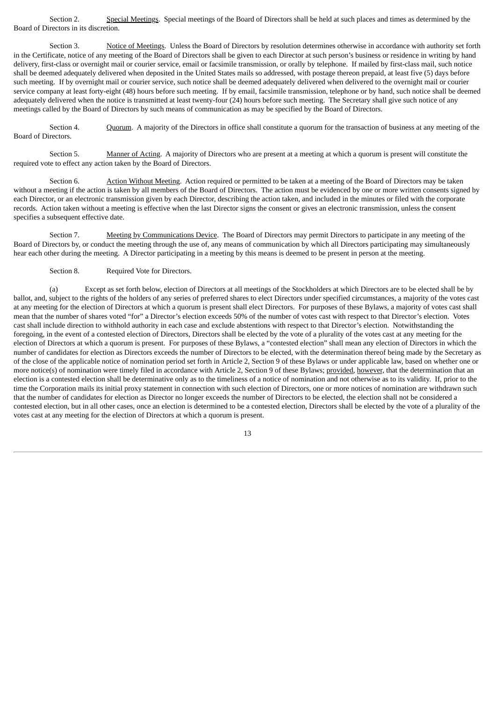Section 2. Special Meetings. Special meetings of the Board of Directors shall be held at such places and times as determined by the Board of Directors in its discretion.

Section 3. Notice of Meetings. Unless the Board of Directors by resolution determines otherwise in accordance with authority set forth in the Certificate, notice of any meeting of the Board of Directors shall be given to each Director at such person's business or residence in writing by hand delivery, first-class or overnight mail or courier service, email or facsimile transmission, or orally by telephone. If mailed by first-class mail, such notice shall be deemed adequately delivered when deposited in the United States mails so addressed, with postage thereon prepaid, at least five (5) days before such meeting. If by overnight mail or courier service, such notice shall be deemed adequately delivered when delivered to the overnight mail or courier service company at least forty-eight (48) hours before such meeting. If by email, facsimile transmission, telephone or by hand, such notice shall be deemed adequately delivered when the notice is transmitted at least twenty-four (24) hours before such meeting. The Secretary shall give such notice of any meetings called by the Board of Directors by such means of communication as may be specified by the Board of Directors.

Section 4. Cuorum. A majority of the Directors in office shall constitute a quorum for the transaction of business at any meeting of the Board of Directors.

Section 5. Manner of Acting. A majority of Directors who are present at a meeting at which a quorum is present will constitute the required vote to effect any action taken by the Board of Directors.

Section 6. Action Without Meeting. Action required or permitted to be taken at a meeting of the Board of Directors may be taken without a meeting if the action is taken by all members of the Board of Directors. The action must be evidenced by one or more written consents signed by each Director, or an electronic transmission given by each Director, describing the action taken, and included in the minutes or filed with the corporate records. Action taken without a meeting is effective when the last Director signs the consent or gives an electronic transmission, unless the consent specifies a subsequent effective date.

Section 7. Meeting by Communications Device. The Board of Directors may permit Directors to participate in any meeting of the Board of Directors by, or conduct the meeting through the use of, any means of communication by which all Directors participating may simultaneously hear each other during the meeting. A Director participating in a meeting by this means is deemed to be present in person at the meeting.

#### Section 8. Required Vote for Directors.

(a) Except as set forth below, election of Directors at all meetings of the Stockholders at which Directors are to be elected shall be by ballot, and, subject to the rights of the holders of any series of preferred shares to elect Directors under specified circumstances, a majority of the votes cast at any meeting for the election of Directors at which a quorum is present shall elect Directors. For purposes of these Bylaws, a majority of votes cast shall mean that the number of shares voted "for" a Director's election exceeds 50% of the number of votes cast with respect to that Director's election. Votes cast shall include direction to withhold authority in each case and exclude abstentions with respect to that Director's election. Notwithstanding the foregoing, in the event of a contested election of Directors, Directors shall be elected by the vote of a plurality of the votes cast at any meeting for the election of Directors at which a quorum is present. For purposes of these Bylaws, a "contested election" shall mean any election of Directors in which the number of candidates for election as Directors exceeds the number of Directors to be elected, with the determination thereof being made by the Secretary as of the close of the applicable notice of nomination period set forth in Article 2, Section 9 of these Bylaws or under applicable law, based on whether one or more notice(s) of nomination were timely filed in accordance with Article 2, Section 9 of these Bylaws; provided, however, that the determination that an election is a contested election shall be determinative only as to the timeliness of a notice of nomination and not otherwise as to its validity. If, prior to the time the Corporation mails its initial proxy statement in connection with such election of Directors, one or more notices of nomination are withdrawn such that the number of candidates for election as Director no longer exceeds the number of Directors to be elected, the election shall not be considered a contested election, but in all other cases, once an election is determined to be a contested election, Directors shall be elected by the vote of a plurality of the votes cast at any meeting for the election of Directors at which a quorum is present.

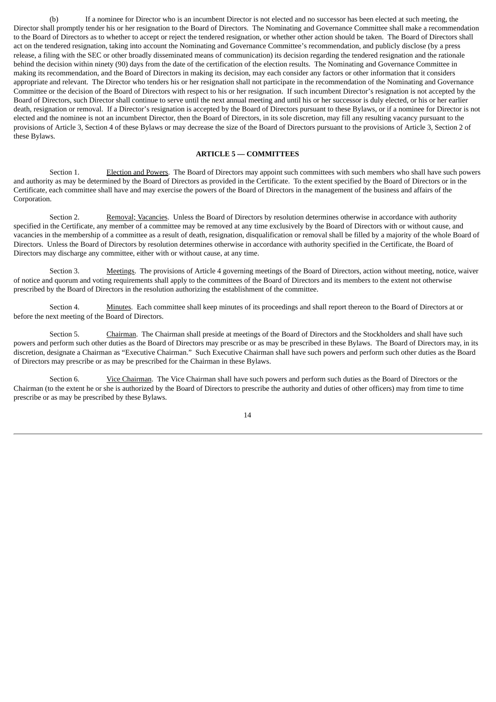(b) If a nominee for Director who is an incumbent Director is not elected and no successor has been elected at such meeting, the Director shall promptly tender his or her resignation to the Board of Directors. The Nominating and Governance Committee shall make a recommendation to the Board of Directors as to whether to accept or reject the tendered resignation, or whether other action should be taken. The Board of Directors shall act on the tendered resignation, taking into account the Nominating and Governance Committee's recommendation, and publicly disclose (by a press release, a filing with the SEC or other broadly disseminated means of communication) its decision regarding the tendered resignation and the rationale behind the decision within ninety (90) days from the date of the certification of the election results. The Nominating and Governance Committee in making its recommendation, and the Board of Directors in making its decision, may each consider any factors or other information that it considers appropriate and relevant. The Director who tenders his or her resignation shall not participate in the recommendation of the Nominating and Governance Committee or the decision of the Board of Directors with respect to his or her resignation. If such incumbent Director's resignation is not accepted by the Board of Directors, such Director shall continue to serve until the next annual meeting and until his or her successor is duly elected, or his or her earlier death, resignation or removal. If a Director's resignation is accepted by the Board of Directors pursuant to these Bylaws, or if a nominee for Director is not elected and the nominee is not an incumbent Director, then the Board of Directors, in its sole discretion, may fill any resulting vacancy pursuant to the provisions of Article 3, Section 4 of these Bylaws or may decrease the size of the Board of Directors pursuant to the provisions of Article 3, Section 2 of these Bylaws.

#### **ARTICLE 5 — COMMITTEES**

Section 1. Election and Powers. The Board of Directors may appoint such committees with such members who shall have such powers and authority as may be determined by the Board of Directors as provided in the Certificate. To the extent specified by the Board of Directors or in the Certificate, each committee shall have and may exercise the powers of the Board of Directors in the management of the business and affairs of the Corporation.

Section 2. Removal; Vacancies. Unless the Board of Directors by resolution determines otherwise in accordance with authority specified in the Certificate, any member of a committee may be removed at any time exclusively by the Board of Directors with or without cause, and vacancies in the membership of a committee as a result of death, resignation, disqualification or removal shall be filled by a majority of the whole Board of Directors. Unless the Board of Directors by resolution determines otherwise in accordance with authority specified in the Certificate, the Board of Directors may discharge any committee, either with or without cause, at any time.

Section 3. Meetings. The provisions of Article 4 governing meetings of the Board of Directors, action without meeting, notice, waiver of notice and quorum and voting requirements shall apply to the committees of the Board of Directors and its members to the extent not otherwise prescribed by the Board of Directors in the resolution authorizing the establishment of the committee.

Section 4. Minutes. Each committee shall keep minutes of its proceedings and shall report thereon to the Board of Directors at or before the next meeting of the Board of Directors.

Section 5. Chairman. The Chairman shall preside at meetings of the Board of Directors and the Stockholders and shall have such powers and perform such other duties as the Board of Directors may prescribe or as may be prescribed in these Bylaws. The Board of Directors may, in its discretion, designate a Chairman as "Executive Chairman." Such Executive Chairman shall have such powers and perform such other duties as the Board of Directors may prescribe or as may be prescribed for the Chairman in these Bylaws.

Section 6. Vice Chairman. The Vice Chairman shall have such powers and perform such duties as the Board of Directors or the Chairman (to the extent he or she is authorized by the Board of Directors to prescribe the authority and duties of other officers) may from time to time prescribe or as may be prescribed by these Bylaws.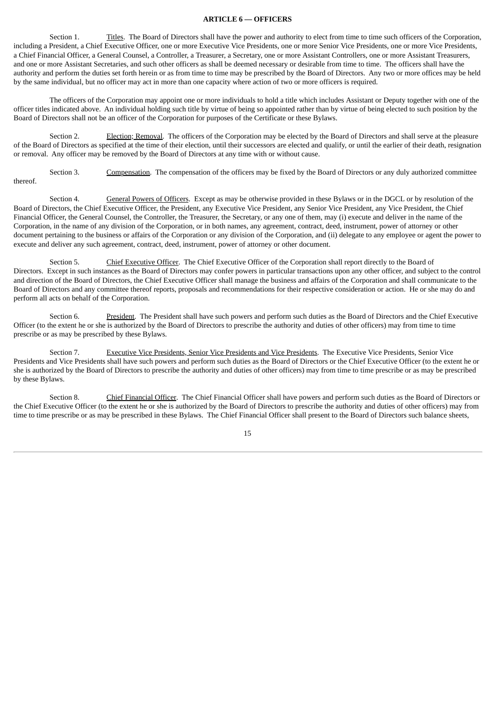#### **ARTICLE 6 — OFFICERS**

Section 1. Titles. The Board of Directors shall have the power and authority to elect from time to time such officers of the Corporation, including a President, a Chief Executive Officer, one or more Executive Vice Presidents, one or more Senior Vice Presidents, one or more Vice Presidents, a Chief Financial Officer, a General Counsel, a Controller, a Treasurer, a Secretary, one or more Assistant Controllers, one or more Assistant Treasurers, and one or more Assistant Secretaries, and such other officers as shall be deemed necessary or desirable from time to time. The officers shall have the authority and perform the duties set forth herein or as from time to time may be prescribed by the Board of Directors. Any two or more offices may be held by the same individual, but no officer may act in more than one capacity where action of two or more officers is required.

The officers of the Corporation may appoint one or more individuals to hold a title which includes Assistant or Deputy together with one of the officer titles indicated above. An individual holding such title by virtue of being so appointed rather than by virtue of being elected to such position by the Board of Directors shall not be an officer of the Corporation for purposes of the Certificate or these Bylaws.

Section 2. Election; Removal. The officers of the Corporation may be elected by the Board of Directors and shall serve at the pleasure of the Board of Directors as specified at the time of their election, until their successors are elected and qualify, or until the earlier of their death, resignation or removal. Any officer may be removed by the Board of Directors at any time with or without cause.

Section 3. Compensation. The compensation of the officers may be fixed by the Board of Directors or any duly authorized committee thereof.

Section 4. General Powers of Officers. Except as may be otherwise provided in these Bylaws or in the DGCL or by resolution of the Board of Directors, the Chief Executive Officer, the President, any Executive Vice President, any Senior Vice President, any Vice President, the Chief Financial Officer, the General Counsel, the Controller, the Treasurer, the Secretary, or any one of them, may (i) execute and deliver in the name of the Corporation, in the name of any division of the Corporation, or in both names, any agreement, contract, deed, instrument, power of attorney or other document pertaining to the business or affairs of the Corporation or any division of the Corporation, and (ii) delegate to any employee or agent the power to execute and deliver any such agreement, contract, deed, instrument, power of attorney or other document.

Section 5. Chief Executive Officer. The Chief Executive Officer of the Corporation shall report directly to the Board of Directors. Except in such instances as the Board of Directors may confer powers in particular transactions upon any other officer, and subject to the control and direction of the Board of Directors, the Chief Executive Officer shall manage the business and affairs of the Corporation and shall communicate to the Board of Directors and any committee thereof reports, proposals and recommendations for their respective consideration or action. He or she may do and perform all acts on behalf of the Corporation.

Section 6. President. The President shall have such powers and perform such duties as the Board of Directors and the Chief Executive Officer (to the extent he or she is authorized by the Board of Directors to prescribe the authority and duties of other officers) may from time to time prescribe or as may be prescribed by these Bylaws.

Section 7. Executive Vice Presidents, Senior Vice Presidents and Vice Presidents. The Executive Vice Presidents, Senior Vice Presidents and Vice Presidents shall have such powers and perform such duties as the Board of Directors or the Chief Executive Officer (to the extent he or she is authorized by the Board of Directors to prescribe the authority and duties of other officers) may from time to time prescribe or as may be prescribed by these Bylaws.

Section 8. Chief Financial Officer. The Chief Financial Officer shall have powers and perform such duties as the Board of Directors or the Chief Executive Officer (to the extent he or she is authorized by the Board of Directors to prescribe the authority and duties of other officers) may from time to time prescribe or as may be prescribed in these Bylaws. The Chief Financial Officer shall present to the Board of Directors such balance sheets,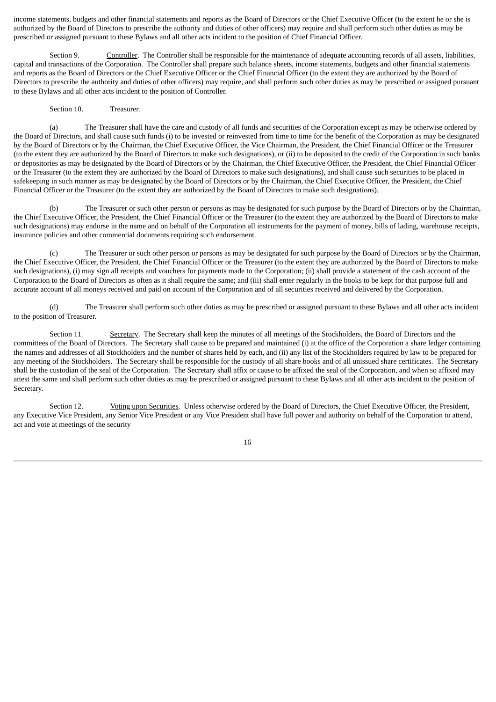income statements, budgets and other financial statements and reports as the Board of Directors or the Chief Executive Officer (to the extent he or she is authorized by the Board of Directors to prescribe the authority and duties of other officers) may require and shall perform such other duties as may be prescribed or assigned pursuant to these Bylaws and all other acts incident to the position of Chief Financial Officer.

Section 9. Controller. The Controller shall be responsible for the maintenance of adequate accounting records of all assets, liabilities, capital and transactions of the Corporation. The Controller shall prepare such balance sheets, income statements, budgets and other financial statements and reports as the Board of Directors or the Chief Executive Officer or the Chief Financial Officer (to the extent they are authorized by the Board of Directors to prescribe the authority and duties of other officers) may require, and shall perform such other duties as may be prescribed or assigned pursuant to these Bylaws and all other acts incident to the position of Controller.

Section 10. Treasurer.

(a) The Treasurer shall have the care and custody of all funds and securities of the Corporation except as may be otherwise ordered by the Board of Directors, and shall cause such funds (i) to be invested or reinvested from time to time for the benefit of the Corporation as may be designated by the Board of Directors or by the Chairman, the Chief Executive Officer, the Vice Chairman, the President, the Chief Financial Officer or the Treasurer (to the extent they are authorized by the Board of Directors to make such designations), or (ii) to be deposited to the credit of the Corporation in such banks or depositories as may be designated by the Board of Directors or by the Chairman, the Chief Executive Officer, the President, the Chief Financial Officer or the Treasurer (to the extent they are authorized by the Board of Directors to make such designations), and shall cause such securities to be placed in safekeeping in such manner as may be designated by the Board of Directors or by the Chairman, the Chief Executive Officer, the President, the Chief Financial Officer or the Treasurer (to the extent they are authorized by the Board of Directors to make such designations).

(b) The Treasurer or such other person or persons as may be designated for such purpose by the Board of Directors or by the Chairman, the Chief Executive Officer, the President, the Chief Financial Officer or the Treasurer (to the extent they are authorized by the Board of Directors to make such designations) may endorse in the name and on behalf of the Corporation all instruments for the payment of money, bills of lading, warehouse receipts, insurance policies and other commercial documents requiring such endorsement.

(c) The Treasurer or such other person or persons as may be designated for such purpose by the Board of Directors or by the Chairman, the Chief Executive Officer, the President, the Chief Financial Officer or the Treasurer (to the extent they are authorized by the Board of Directors to make such designations), (i) may sign all receipts and vouchers for payments made to the Corporation; (ii) shall provide a statement of the cash account of the Corporation to the Board of Directors as often as it shall require the same; and (iii) shall enter regularly in the books to be kept for that purpose full and accurate account of all moneys received and paid on account of the Corporation and of all securities received and delivered by the Corporation.

(d) The Treasurer shall perform such other duties as may be prescribed or assigned pursuant to these Bylaws and all other acts incident to the position of Treasurer.

Section 11. Secretary. The Secretary shall keep the minutes of all meetings of the Stockholders, the Board of Directors and the committees of the Board of Directors. The Secretary shall cause to be prepared and maintained (i) at the office of the Corporation a share ledger containing the names and addresses of all Stockholders and the number of shares held by each, and (ii) any list of the Stockholders required by law to be prepared for any meeting of the Stockholders. The Secretary shall be responsible for the custody of all share books and of all unissued share certificates. The Secretary shall be the custodian of the seal of the Corporation. The Secretary shall affix or cause to be affixed the seal of the Corporation, and when so affixed may attest the same and shall perform such other duties as may be prescribed or assigned pursuant to these Bylaws and all other acts incident to the position of Secretary.

Section 12. *Voting upon Securities*. Unless otherwise ordered by the Board of Directors, the Chief Executive Officer, the President, any Executive Vice President, any Senior Vice President or any Vice President shall have full power and authority on behalf of the Corporation to attend, act and vote at meetings of the security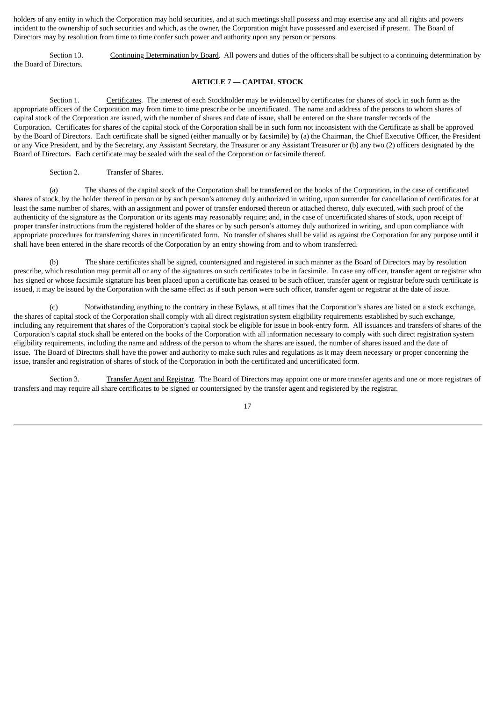holders of any entity in which the Corporation may hold securities, and at such meetings shall possess and may exercise any and all rights and powers incident to the ownership of such securities and which, as the owner, the Corporation might have possessed and exercised if present. The Board of Directors may by resolution from time to time confer such power and authority upon any person or persons.

Section 13. Continuing Determination by Board. All powers and duties of the officers shall be subject to a continuing determination by the Board of Directors.

#### **ARTICLE 7 — CAPITAL STOCK**

Section 1. Certificates. The interest of each Stockholder may be evidenced by certificates for shares of stock in such form as the appropriate officers of the Corporation may from time to time prescribe or be uncertificated. The name and address of the persons to whom shares of capital stock of the Corporation are issued, with the number of shares and date of issue, shall be entered on the share transfer records of the Corporation. Certificates for shares of the capital stock of the Corporation shall be in such form not inconsistent with the Certificate as shall be approved by the Board of Directors. Each certificate shall be signed (either manually or by facsimile) by (a) the Chairman, the Chief Executive Officer, the President or any Vice President, and by the Secretary, any Assistant Secretary, the Treasurer or any Assistant Treasurer or (b) any two (2) officers designated by the Board of Directors. Each certificate may be sealed with the seal of the Corporation or facsimile thereof.

#### Section 2. Transfer of Shares.

(a) The shares of the capital stock of the Corporation shall be transferred on the books of the Corporation, in the case of certificated shares of stock, by the holder thereof in person or by such person's attorney duly authorized in writing, upon surrender for cancellation of certificates for at least the same number of shares, with an assignment and power of transfer endorsed thereon or attached thereto, duly executed, with such proof of the authenticity of the signature as the Corporation or its agents may reasonably require; and, in the case of uncertificated shares of stock, upon receipt of proper transfer instructions from the registered holder of the shares or by such person's attorney duly authorized in writing, and upon compliance with appropriate procedures for transferring shares in uncertificated form. No transfer of shares shall be valid as against the Corporation for any purpose until it shall have been entered in the share records of the Corporation by an entry showing from and to whom transferred.

The share certificates shall be signed, countersigned and registered in such manner as the Board of Directors may by resolution prescribe, which resolution may permit all or any of the signatures on such certificates to be in facsimile. In case any officer, transfer agent or registrar who has signed or whose facsimile signature has been placed upon a certificate has ceased to be such officer, transfer agent or registrar before such certificate is issued, it may be issued by the Corporation with the same effect as if such person were such officer, transfer agent or registrar at the date of issue.

(c) Notwithstanding anything to the contrary in these Bylaws, at all times that the Corporation's shares are listed on a stock exchange, the shares of capital stock of the Corporation shall comply with all direct registration system eligibility requirements established by such exchange, including any requirement that shares of the Corporation's capital stock be eligible for issue in book-entry form. All issuances and transfers of shares of the Corporation's capital stock shall be entered on the books of the Corporation with all information necessary to comply with such direct registration system eligibility requirements, including the name and address of the person to whom the shares are issued, the number of shares issued and the date of issue. The Board of Directors shall have the power and authority to make such rules and regulations as it may deem necessary or proper concerning the issue, transfer and registration of shares of stock of the Corporation in both the certificated and uncertificated form.

Section 3. Transfer Agent and Registrar. The Board of Directors may appoint one or more transfer agents and one or more registrars of transfers and may require all share certificates to be signed or countersigned by the transfer agent and registered by the registrar.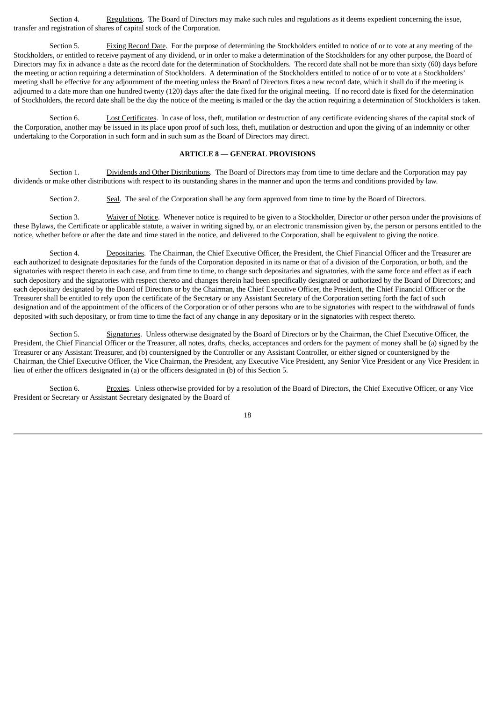Section 4. Regulations. The Board of Directors may make such rules and regulations as it deems expedient concerning the issue, transfer and registration of shares of capital stock of the Corporation.

Section 5. Fixing Record Date. For the purpose of determining the Stockholders entitled to notice of or to vote at any meeting of the Stockholders, or entitled to receive payment of any dividend, or in order to make a determination of the Stockholders for any other purpose, the Board of Directors may fix in advance a date as the record date for the determination of Stockholders. The record date shall not be more than sixty (60) days before the meeting or action requiring a determination of Stockholders. A determination of the Stockholders entitled to notice of or to vote at a Stockholders' meeting shall be effective for any adjournment of the meeting unless the Board of Directors fixes a new record date, which it shall do if the meeting is adjourned to a date more than one hundred twenty (120) days after the date fixed for the original meeting. If no record date is fixed for the determination of Stockholders, the record date shall be the day the notice of the meeting is mailed or the day the action requiring a determination of Stockholders is taken.

Section 6. Lost Certificates. In case of loss, theft, mutilation or destruction of any certificate evidencing shares of the capital stock of the Corporation, another may be issued in its place upon proof of such loss, theft, mutilation or destruction and upon the giving of an indemnity or other undertaking to the Corporation in such form and in such sum as the Board of Directors may direct.

#### **ARTICLE 8 — GENERAL PROVISIONS**

Section 1. Dividends and Other Distributions. The Board of Directors may from time to time declare and the Corporation may pay dividends or make other distributions with respect to its outstanding shares in the manner and upon the terms and conditions provided by law.

Section 2. Seal. The seal of the Corporation shall be any form approved from time to time by the Board of Directors.

Section 3. Waiver of Notice. Whenever notice is required to be given to a Stockholder, Director or other person under the provisions of these Bylaws, the Certificate or applicable statute, a waiver in writing signed by, or an electronic transmission given by, the person or persons entitled to the notice, whether before or after the date and time stated in the notice, and delivered to the Corporation, shall be equivalent to giving the notice.

Section 4. Depositaries. The Chairman, the Chief Executive Officer, the President, the Chief Financial Officer and the Treasurer are each authorized to designate depositaries for the funds of the Corporation deposited in its name or that of a division of the Corporation, or both, and the signatories with respect thereto in each case, and from time to time, to change such depositaries and signatories, with the same force and effect as if each such depository and the signatories with respect thereto and changes therein had been specifically designated or authorized by the Board of Directors; and each depositary designated by the Board of Directors or by the Chairman, the Chief Executive Officer, the President, the Chief Financial Officer or the Treasurer shall be entitled to rely upon the certificate of the Secretary or any Assistant Secretary of the Corporation setting forth the fact of such designation and of the appointment of the officers of the Corporation or of other persons who are to be signatories with respect to the withdrawal of funds deposited with such depositary, or from time to time the fact of any change in any depositary or in the signatories with respect thereto.

Section 5. Signatories. Unless otherwise designated by the Board of Directors or by the Chairman, the Chief Executive Officer, the President, the Chief Financial Officer or the Treasurer, all notes, drafts, checks, acceptances and orders for the payment of money shall be (a) signed by the Treasurer or any Assistant Treasurer, and (b) countersigned by the Controller or any Assistant Controller, or either signed or countersigned by the Chairman, the Chief Executive Officer, the Vice Chairman, the President, any Executive Vice President, any Senior Vice President or any Vice President in lieu of either the officers designated in (a) or the officers designated in (b) of this Section 5.

Section 6. Proxies. Unless otherwise provided for by a resolution of the Board of Directors, the Chief Executive Officer, or any Vice President or Secretary or Assistant Secretary designated by the Board of